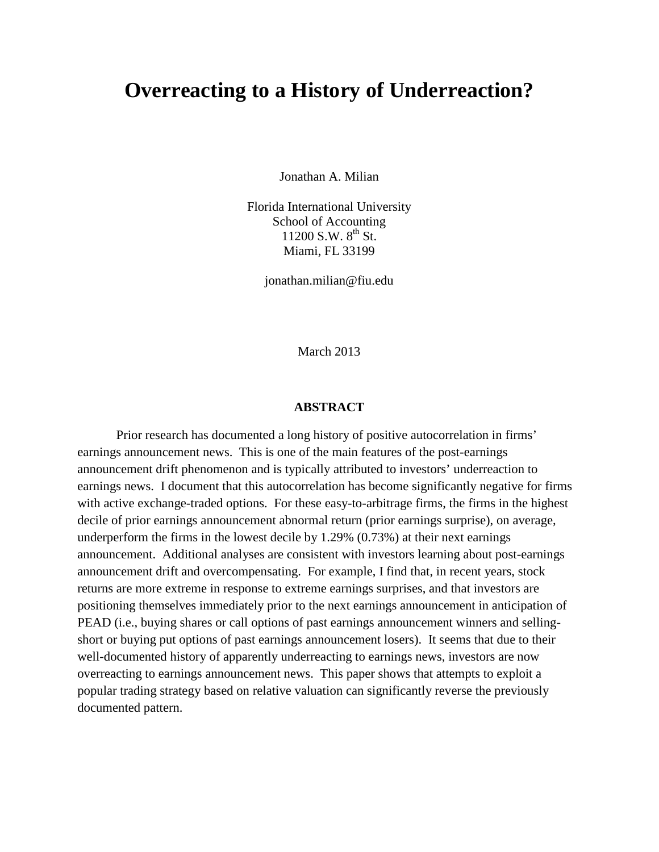# **Overreacting to a History of Underreaction?**

Jonathan A. Milian

Florida International University School of Accounting  $11200$  S.W.  $8^{th}$  St. Miami, FL 33199

jonathan.milian@fiu.edu

March 2013

### **ABSTRACT**

Prior research has documented a long history of positive autocorrelation in firms' earnings announcement news. This is one of the main features of the post-earnings announcement drift phenomenon and is typically attributed to investors' underreaction to earnings news. I document that this autocorrelation has become significantly negative for firms with active exchange-traded options. For these easy-to-arbitrage firms, the firms in the highest decile of prior earnings announcement abnormal return (prior earnings surprise), on average, underperform the firms in the lowest decile by 1.29% (0.73%) at their next earnings announcement. Additional analyses are consistent with investors learning about post-earnings announcement drift and overcompensating. For example, I find that, in recent years, stock returns are more extreme in response to extreme earnings surprises, and that investors are positioning themselves immediately prior to the next earnings announcement in anticipation of PEAD (i.e., buying shares or call options of past earnings announcement winners and sellingshort or buying put options of past earnings announcement losers). It seems that due to their well-documented history of apparently underreacting to earnings news, investors are now overreacting to earnings announcement news. This paper shows that attempts to exploit a popular trading strategy based on relative valuation can significantly reverse the previously documented pattern.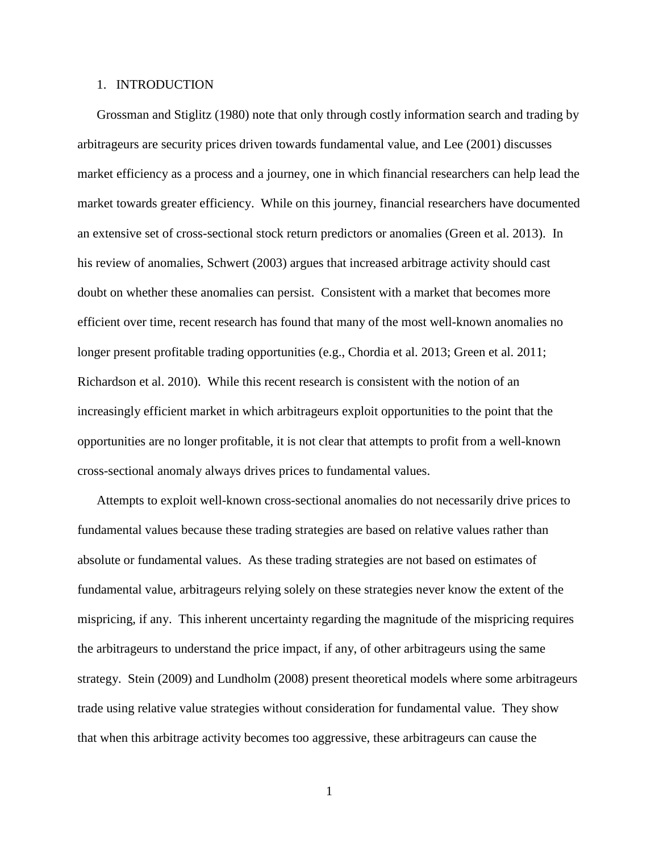### 1. INTRODUCTION

Grossman and Stiglitz (1980) note that only through costly information search and trading by arbitrageurs are security prices driven towards fundamental value, and Lee (2001) discusses market efficiency as a process and a journey, one in which financial researchers can help lead the market towards greater efficiency. While on this journey, financial researchers have documented an extensive set of cross-sectional stock return predictors or anomalies (Green et al. 2013). In his review of anomalies, Schwert (2003) argues that increased arbitrage activity should cast doubt on whether these anomalies can persist. Consistent with a market that becomes more efficient over time, recent research has found that many of the most well-known anomalies no longer present profitable trading opportunities (e.g., Chordia et al. 2013; Green et al. 2011; Richardson et al. 2010). While this recent research is consistent with the notion of an increasingly efficient market in which arbitrageurs exploit opportunities to the point that the opportunities are no longer profitable, it is not clear that attempts to profit from a well-known cross-sectional anomaly always drives prices to fundamental values.

Attempts to exploit well-known cross-sectional anomalies do not necessarily drive prices to fundamental values because these trading strategies are based on relative values rather than absolute or fundamental values. As these trading strategies are not based on estimates of fundamental value, arbitrageurs relying solely on these strategies never know the extent of the mispricing, if any. This inherent uncertainty regarding the magnitude of the mispricing requires the arbitrageurs to understand the price impact, if any, of other arbitrageurs using the same strategy. Stein (2009) and Lundholm (2008) present theoretical models where some arbitrageurs trade using relative value strategies without consideration for fundamental value. They show that when this arbitrage activity becomes too aggressive, these arbitrageurs can cause the

1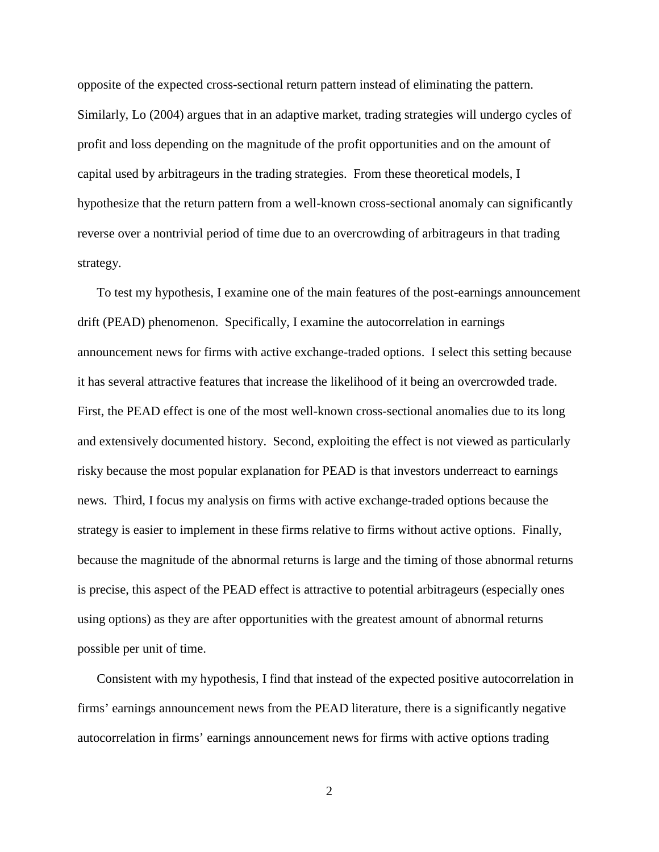opposite of the expected cross-sectional return pattern instead of eliminating the pattern. Similarly, Lo (2004) argues that in an adaptive market, trading strategies will undergo cycles of profit and loss depending on the magnitude of the profit opportunities and on the amount of capital used by arbitrageurs in the trading strategies. From these theoretical models, I hypothesize that the return pattern from a well-known cross-sectional anomaly can significantly reverse over a nontrivial period of time due to an overcrowding of arbitrageurs in that trading strategy.

To test my hypothesis, I examine one of the main features of the post-earnings announcement drift (PEAD) phenomenon. Specifically, I examine the autocorrelation in earnings announcement news for firms with active exchange-traded options. I select this setting because it has several attractive features that increase the likelihood of it being an overcrowded trade. First, the PEAD effect is one of the most well-known cross-sectional anomalies due to its long and extensively documented history. Second, exploiting the effect is not viewed as particularly risky because the most popular explanation for PEAD is that investors underreact to earnings news. Third, I focus my analysis on firms with active exchange-traded options because the strategy is easier to implement in these firms relative to firms without active options. Finally, because the magnitude of the abnormal returns is large and the timing of those abnormal returns is precise, this aspect of the PEAD effect is attractive to potential arbitrageurs (especially ones using options) as they are after opportunities with the greatest amount of abnormal returns possible per unit of time.

Consistent with my hypothesis, I find that instead of the expected positive autocorrelation in firms' earnings announcement news from the PEAD literature, there is a significantly negative autocorrelation in firms' earnings announcement news for firms with active options trading

2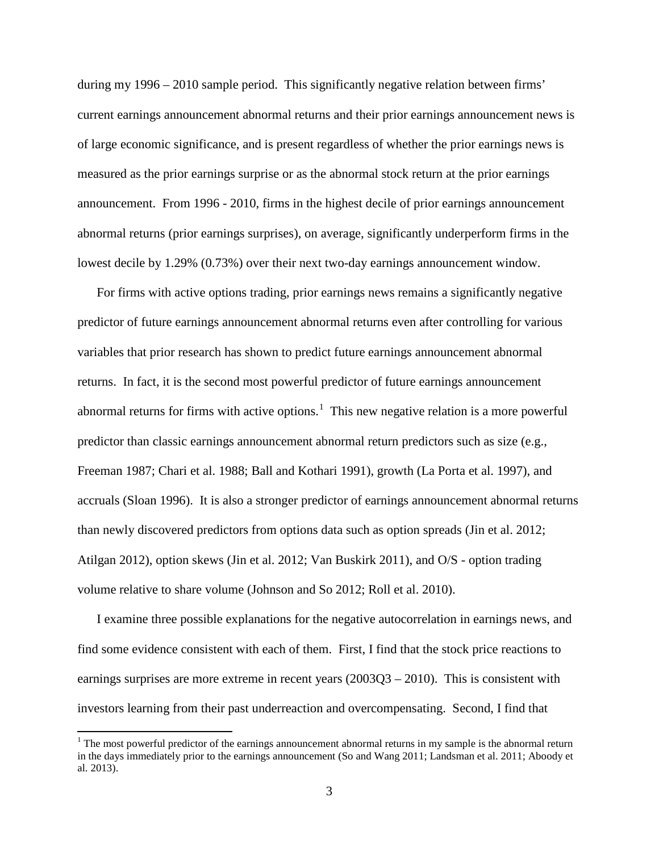during my 1996 – 2010 sample period. This significantly negative relation between firms' current earnings announcement abnormal returns and their prior earnings announcement news is of large economic significance, and is present regardless of whether the prior earnings news is measured as the prior earnings surprise or as the abnormal stock return at the prior earnings announcement. From 1996 - 2010, firms in the highest decile of prior earnings announcement abnormal returns (prior earnings surprises), on average, significantly underperform firms in the lowest decile by 1.29% (0.73%) over their next two-day earnings announcement window.

For firms with active options trading, prior earnings news remains a significantly negative predictor of future earnings announcement abnormal returns even after controlling for various variables that prior research has shown to predict future earnings announcement abnormal returns. In fact, it is the second most powerful predictor of future earnings announcement abnormal returns for firms with active options.<sup>[1](#page-3-0)</sup> This new negative relation is a more powerful predictor than classic earnings announcement abnormal return predictors such as size (e.g., Freeman 1987; Chari et al. 1988; Ball and Kothari 1991), growth (La Porta et al. 1997), and accruals (Sloan 1996). It is also a stronger predictor of earnings announcement abnormal returns than newly discovered predictors from options data such as option spreads (Jin et al. 2012; Atilgan 2012), option skews (Jin et al. 2012; Van Buskirk 2011), and O/S - option trading volume relative to share volume (Johnson and So 2012; Roll et al. 2010).

I examine three possible explanations for the negative autocorrelation in earnings news, and find some evidence consistent with each of them. First, I find that the stock price reactions to earnings surprises are more extreme in recent years (2003Q3 – 2010). This is consistent with investors learning from their past underreaction and overcompensating. Second, I find that

<span id="page-3-0"></span><sup>&</sup>lt;sup>1</sup> The most powerful predictor of the earnings announcement abnormal returns in my sample is the abnormal return in the days immediately prior to the earnings announcement (So and Wang 2011; Landsman et al. 2011; Aboody et al. 2013).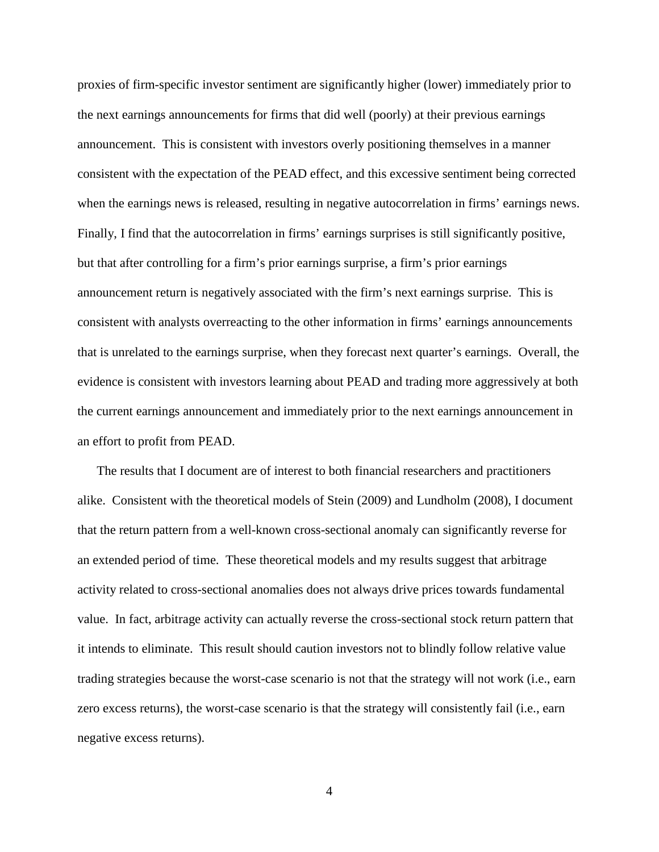proxies of firm-specific investor sentiment are significantly higher (lower) immediately prior to the next earnings announcements for firms that did well (poorly) at their previous earnings announcement. This is consistent with investors overly positioning themselves in a manner consistent with the expectation of the PEAD effect, and this excessive sentiment being corrected when the earnings news is released, resulting in negative autocorrelation in firms' earnings news. Finally, I find that the autocorrelation in firms' earnings surprises is still significantly positive, but that after controlling for a firm's prior earnings surprise, a firm's prior earnings announcement return is negatively associated with the firm's next earnings surprise. This is consistent with analysts overreacting to the other information in firms' earnings announcements that is unrelated to the earnings surprise, when they forecast next quarter's earnings. Overall, the evidence is consistent with investors learning about PEAD and trading more aggressively at both the current earnings announcement and immediately prior to the next earnings announcement in an effort to profit from PEAD.

The results that I document are of interest to both financial researchers and practitioners alike. Consistent with the theoretical models of Stein (2009) and Lundholm (2008), I document that the return pattern from a well-known cross-sectional anomaly can significantly reverse for an extended period of time. These theoretical models and my results suggest that arbitrage activity related to cross-sectional anomalies does not always drive prices towards fundamental value. In fact, arbitrage activity can actually reverse the cross-sectional stock return pattern that it intends to eliminate. This result should caution investors not to blindly follow relative value trading strategies because the worst-case scenario is not that the strategy will not work (i.e., earn zero excess returns), the worst-case scenario is that the strategy will consistently fail (i.e., earn negative excess returns).

4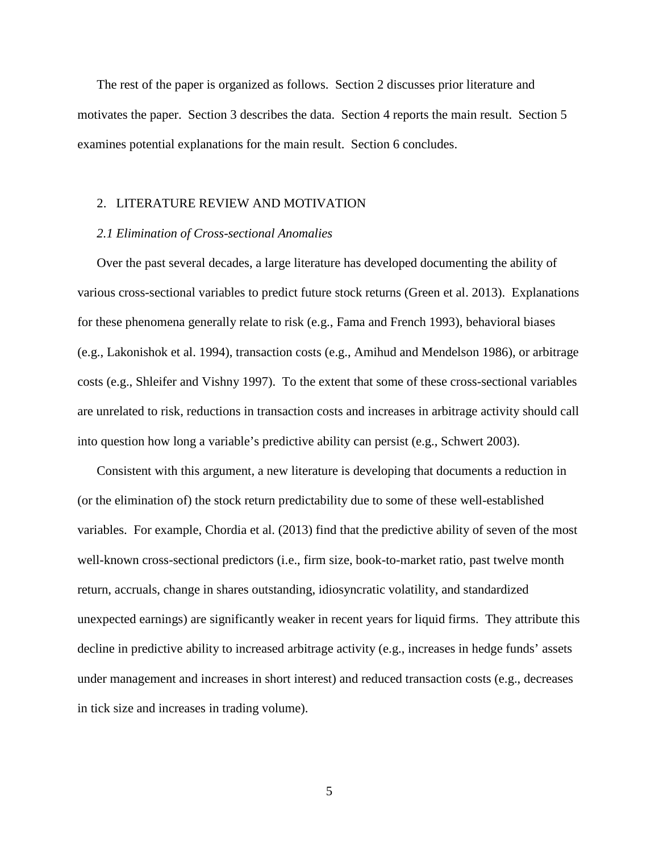The rest of the paper is organized as follows. Section 2 discusses prior literature and motivates the paper. Section 3 describes the data. Section 4 reports the main result. Section 5 examines potential explanations for the main result. Section 6 concludes.

## 2. LITERATURE REVIEW AND MOTIVATION

#### *2.1 Elimination of Cross-sectional Anomalies*

Over the past several decades, a large literature has developed documenting the ability of various cross-sectional variables to predict future stock returns (Green et al. 2013). Explanations for these phenomena generally relate to risk (e.g., Fama and French 1993), behavioral biases (e.g., Lakonishok et al. 1994), transaction costs (e.g., Amihud and Mendelson 1986), or arbitrage costs (e.g., Shleifer and Vishny 1997). To the extent that some of these cross-sectional variables are unrelated to risk, reductions in transaction costs and increases in arbitrage activity should call into question how long a variable's predictive ability can persist (e.g., Schwert 2003).

Consistent with this argument, a new literature is developing that documents a reduction in (or the elimination of) the stock return predictability due to some of these well-established variables. For example, Chordia et al. (2013) find that the predictive ability of seven of the most well-known cross-sectional predictors (i.e., firm size, book-to-market ratio, past twelve month return, accruals, change in shares outstanding, idiosyncratic volatility, and standardized unexpected earnings) are significantly weaker in recent years for liquid firms. They attribute this decline in predictive ability to increased arbitrage activity (e.g., increases in hedge funds' assets under management and increases in short interest) and reduced transaction costs (e.g., decreases in tick size and increases in trading volume).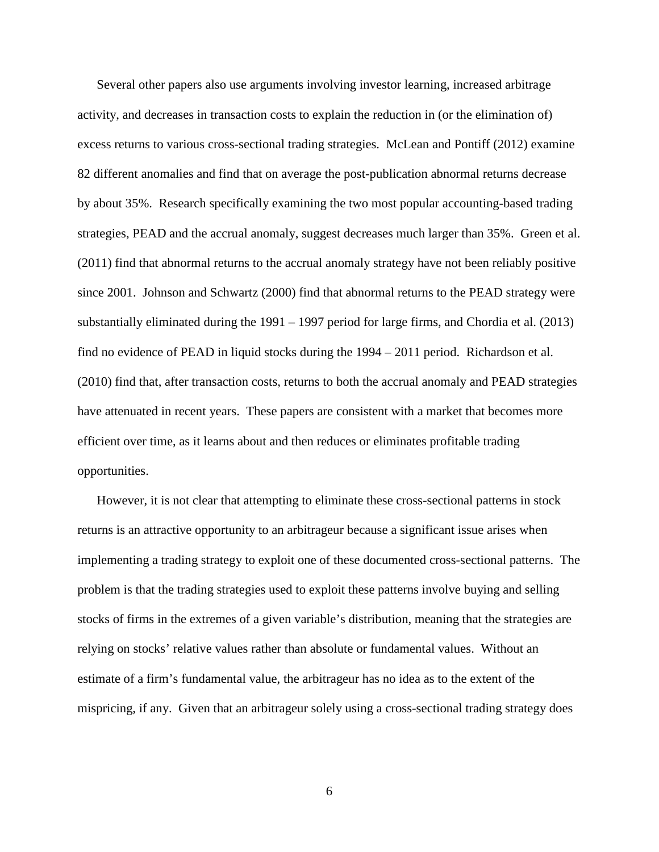Several other papers also use arguments involving investor learning, increased arbitrage activity, and decreases in transaction costs to explain the reduction in (or the elimination of) excess returns to various cross-sectional trading strategies. McLean and Pontiff (2012) examine 82 different anomalies and find that on average the post-publication abnormal returns decrease by about 35%. Research specifically examining the two most popular accounting-based trading strategies, PEAD and the accrual anomaly, suggest decreases much larger than 35%. Green et al. (2011) find that abnormal returns to the accrual anomaly strategy have not been reliably positive since 2001. Johnson and Schwartz (2000) find that abnormal returns to the PEAD strategy were substantially eliminated during the 1991 – 1997 period for large firms, and Chordia et al. (2013) find no evidence of PEAD in liquid stocks during the 1994 – 2011 period. Richardson et al. (2010) find that, after transaction costs, returns to both the accrual anomaly and PEAD strategies have attenuated in recent years. These papers are consistent with a market that becomes more efficient over time, as it learns about and then reduces or eliminates profitable trading opportunities.

However, it is not clear that attempting to eliminate these cross-sectional patterns in stock returns is an attractive opportunity to an arbitrageur because a significant issue arises when implementing a trading strategy to exploit one of these documented cross-sectional patterns. The problem is that the trading strategies used to exploit these patterns involve buying and selling stocks of firms in the extremes of a given variable's distribution, meaning that the strategies are relying on stocks' relative values rather than absolute or fundamental values. Without an estimate of a firm's fundamental value, the arbitrageur has no idea as to the extent of the mispricing, if any. Given that an arbitrageur solely using a cross-sectional trading strategy does

6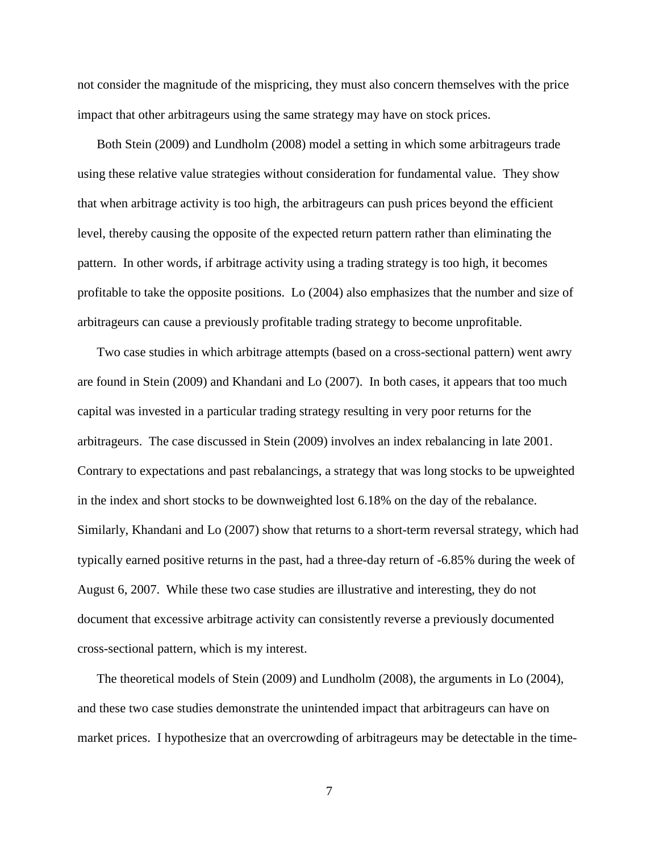not consider the magnitude of the mispricing, they must also concern themselves with the price impact that other arbitrageurs using the same strategy may have on stock prices.

Both Stein (2009) and Lundholm (2008) model a setting in which some arbitrageurs trade using these relative value strategies without consideration for fundamental value. They show that when arbitrage activity is too high, the arbitrageurs can push prices beyond the efficient level, thereby causing the opposite of the expected return pattern rather than eliminating the pattern. In other words, if arbitrage activity using a trading strategy is too high, it becomes profitable to take the opposite positions. Lo (2004) also emphasizes that the number and size of arbitrageurs can cause a previously profitable trading strategy to become unprofitable.

Two case studies in which arbitrage attempts (based on a cross-sectional pattern) went awry are found in Stein (2009) and Khandani and Lo (2007). In both cases, it appears that too much capital was invested in a particular trading strategy resulting in very poor returns for the arbitrageurs. The case discussed in Stein (2009) involves an index rebalancing in late 2001. Contrary to expectations and past rebalancings, a strategy that was long stocks to be upweighted in the index and short stocks to be downweighted lost 6.18% on the day of the rebalance. Similarly, Khandani and Lo (2007) show that returns to a short-term reversal strategy, which had typically earned positive returns in the past, had a three-day return of -6.85% during the week of August 6, 2007. While these two case studies are illustrative and interesting, they do not document that excessive arbitrage activity can consistently reverse a previously documented cross-sectional pattern, which is my interest.

The theoretical models of Stein (2009) and Lundholm (2008), the arguments in Lo (2004), and these two case studies demonstrate the unintended impact that arbitrageurs can have on market prices. I hypothesize that an overcrowding of arbitrageurs may be detectable in the time-

7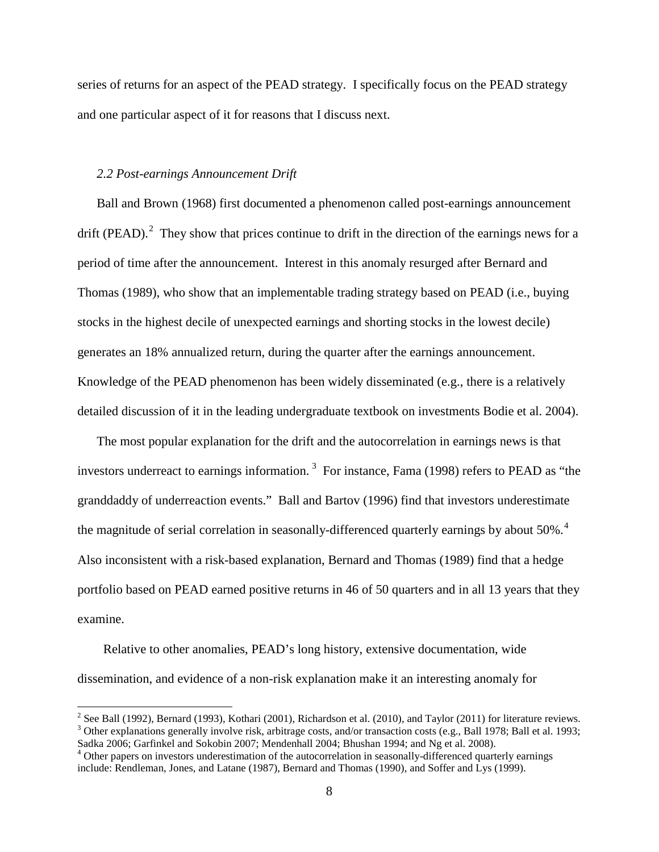series of returns for an aspect of the PEAD strategy. I specifically focus on the PEAD strategy and one particular aspect of it for reasons that I discuss next.

### *2.2 Post-earnings Announcement Drift*

Ball and Brown (1968) first documented a phenomenon called post-earnings announcement drift (PEAD).<sup>[2](#page-8-0)</sup> They show that prices continue to drift in the direction of the earnings news for a period of time after the announcement. Interest in this anomaly resurged after Bernard and Thomas (1989), who show that an implementable trading strategy based on PEAD (i.e., buying stocks in the highest decile of unexpected earnings and shorting stocks in the lowest decile) generates an 18% annualized return, during the quarter after the earnings announcement. Knowledge of the PEAD phenomenon has been widely disseminated (e.g., there is a relatively detailed discussion of it in the leading undergraduate textbook on investments Bodie et al. 2004).

The most popular explanation for the drift and the autocorrelation in earnings news is that investors underreact to earnings information.<sup>[3](#page-8-1)</sup> For instance, Fama (1998) refers to PEAD as "the granddaddy of underreaction events." Ball and Bartov (1996) find that investors underestimate the magnitude of serial correlation in seasonally-differenced quarterly earnings by about 50%.<sup>[4](#page-8-2)</sup> Also inconsistent with a risk-based explanation, Bernard and Thomas (1989) find that a hedge portfolio based on PEAD earned positive returns in 46 of 50 quarters and in all 13 years that they examine.

 Relative to other anomalies, PEAD's long history, extensive documentation, wide dissemination, and evidence of a non-risk explanation make it an interesting anomaly for

<span id="page-8-0"></span><sup>&</sup>lt;sup>2</sup> See Ball (1992), Bernard (1993), Kothari (2001), Richardson et al. (2010), and Taylor (2011) for literature reviews.<br><sup>3</sup> Other explanations generally involve risk, arbitrage costs, and/or transaction costs (e.g., Ball

<span id="page-8-1"></span>Sadka 2006; Garfinkel and Sokobin 2007; Mendenhall 2004; Bhushan 1994; and Ng et al. 2008).<br><sup>4</sup> Other papers on investors underestimation of the autocorrelation in seasonally-differenced quarterly earnings

<span id="page-8-2"></span>include: Rendleman, Jones, and Latane (1987), Bernard and Thomas (1990), and Soffer and Lys (1999).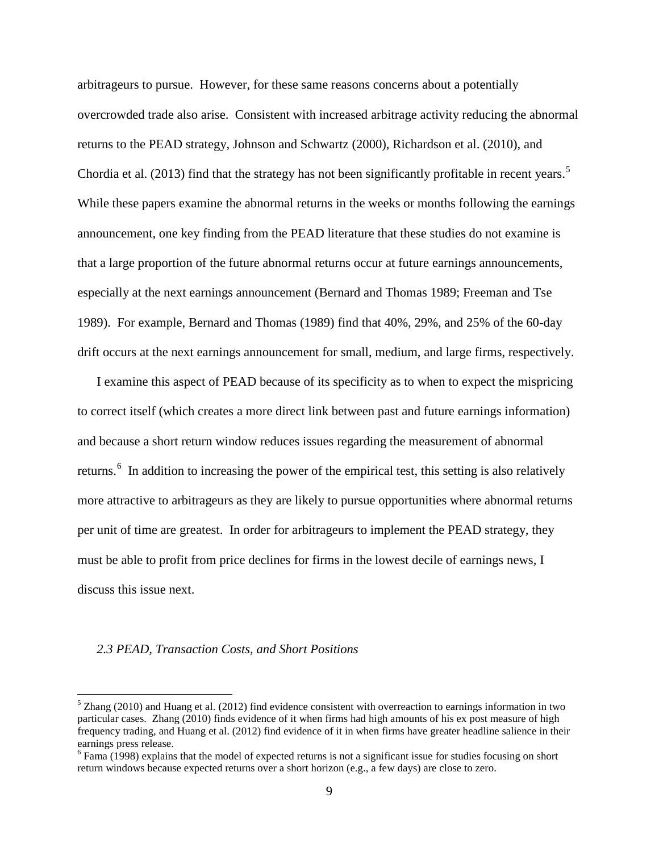arbitrageurs to pursue. However, for these same reasons concerns about a potentially overcrowded trade also arise. Consistent with increased arbitrage activity reducing the abnormal returns to the PEAD strategy, Johnson and Schwartz (2000), Richardson et al. (2010), and Chordia et al. (2013) find that the strategy has not been significantly profitable in recent years.<sup>[5](#page-9-0)</sup> While these papers examine the abnormal returns in the weeks or months following the earnings announcement, one key finding from the PEAD literature that these studies do not examine is that a large proportion of the future abnormal returns occur at future earnings announcements, especially at the next earnings announcement (Bernard and Thomas 1989; Freeman and Tse 1989). For example, Bernard and Thomas (1989) find that 40%, 29%, and 25% of the 60-day drift occurs at the next earnings announcement for small, medium, and large firms, respectively.

I examine this aspect of PEAD because of its specificity as to when to expect the mispricing to correct itself (which creates a more direct link between past and future earnings information) and because a short return window reduces issues regarding the measurement of abnormal returns.<sup>[6](#page-9-1)</sup> In addition to increasing the power of the empirical test, this setting is also relatively more attractive to arbitrageurs as they are likely to pursue opportunities where abnormal returns per unit of time are greatest. In order for arbitrageurs to implement the PEAD strategy, they must be able to profit from price declines for firms in the lowest decile of earnings news, I discuss this issue next.

#### *2.3 PEAD, Transaction Costs, and Short Positions*

<span id="page-9-0"></span> $5$  Zhang (2010) and Huang et al. (2012) find evidence consistent with overreaction to earnings information in two particular cases. Zhang (2010) finds evidence of it when firms had high amounts of his ex post measure of high frequency trading, and Huang et al. (2012) find evidence of it in when firms have greater headline salience in their earnings press release.

<span id="page-9-1"></span> $<sup>6</sup>$  Fama (1998) explains that the model of expected returns is not a significant issue for studies focusing on short</sup> return windows because expected returns over a short horizon (e.g., a few days) are close to zero.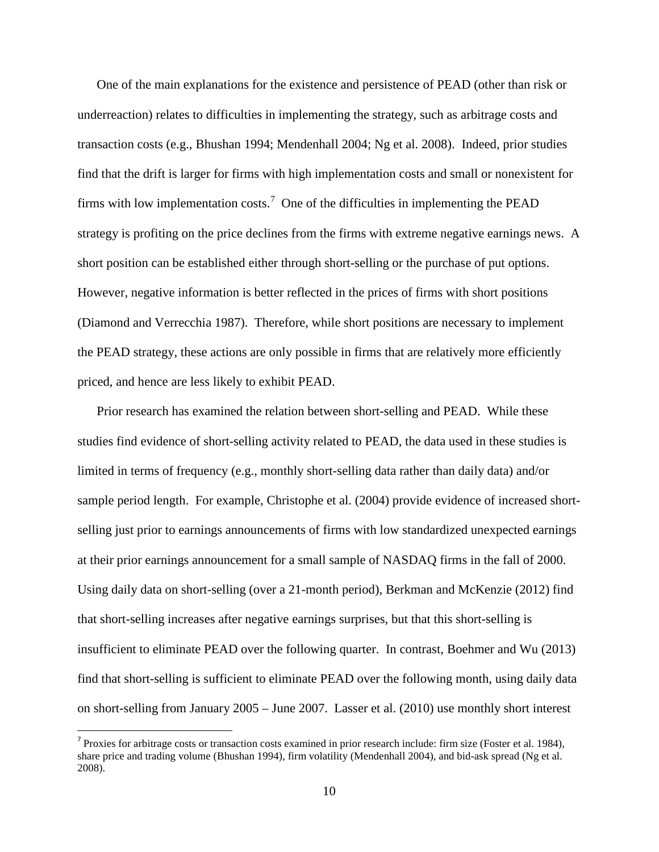One of the main explanations for the existence and persistence of PEAD (other than risk or underreaction) relates to difficulties in implementing the strategy, such as arbitrage costs and transaction costs (e.g., Bhushan 1994; Mendenhall 2004; Ng et al. 2008). Indeed, prior studies find that the drift is larger for firms with high implementation costs and small or nonexistent for firms with low implementation costs.<sup>[7](#page-10-0)</sup> One of the difficulties in implementing the PEAD strategy is profiting on the price declines from the firms with extreme negative earnings news. A short position can be established either through short-selling or the purchase of put options. However, negative information is better reflected in the prices of firms with short positions (Diamond and Verrecchia 1987). Therefore, while short positions are necessary to implement the PEAD strategy, these actions are only possible in firms that are relatively more efficiently priced, and hence are less likely to exhibit PEAD.

Prior research has examined the relation between short-selling and PEAD. While these studies find evidence of short-selling activity related to PEAD, the data used in these studies is limited in terms of frequency (e.g., monthly short-selling data rather than daily data) and/or sample period length. For example, Christophe et al. (2004) provide evidence of increased shortselling just prior to earnings announcements of firms with low standardized unexpected earnings at their prior earnings announcement for a small sample of NASDAQ firms in the fall of 2000. Using daily data on short-selling (over a 21-month period), Berkman and McKenzie (2012) find that short-selling increases after negative earnings surprises, but that this short-selling is insufficient to eliminate PEAD over the following quarter. In contrast, Boehmer and Wu (2013) find that short-selling is sufficient to eliminate PEAD over the following month, using daily data on short-selling from January 2005 – June 2007. Lasser et al. (2010) use monthly short interest

<span id="page-10-0"></span> $<sup>7</sup>$  Proxies for arbitrage costs or transaction costs examined in prior research include: firm size (Foster et al. 1984),</sup> share price and trading volume (Bhushan 1994), firm volatility (Mendenhall 2004), and bid-ask spread (Ng et al. 2008).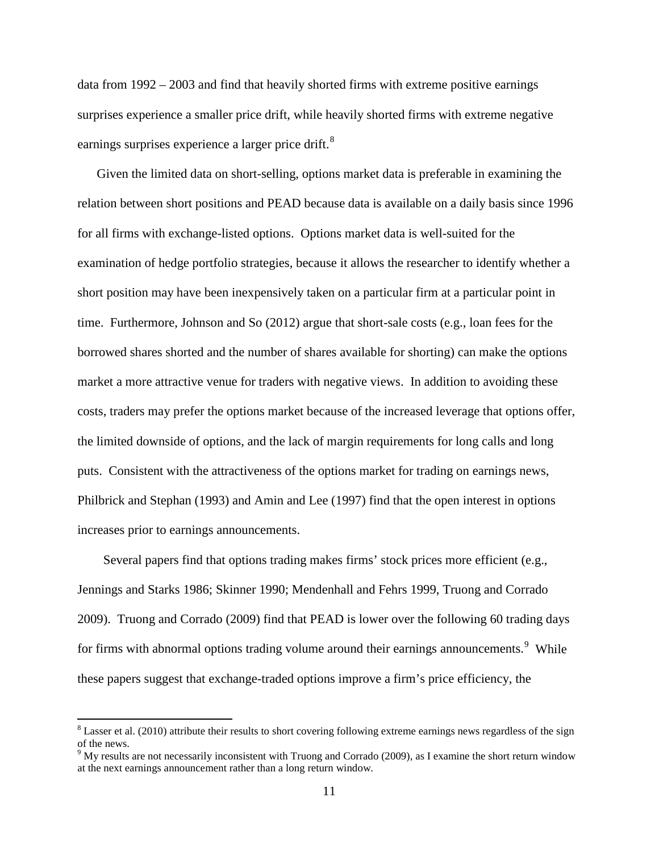data from 1992 – 2003 and find that heavily shorted firms with extreme positive earnings surprises experience a smaller price drift, while heavily shorted firms with extreme negative earnings surprises experience a larger price drift.<sup>[8](#page-11-0)</sup>

Given the limited data on short-selling, options market data is preferable in examining the relation between short positions and PEAD because data is available on a daily basis since 1996 for all firms with exchange-listed options. Options market data is well-suited for the examination of hedge portfolio strategies, because it allows the researcher to identify whether a short position may have been inexpensively taken on a particular firm at a particular point in time. Furthermore, Johnson and So (2012) argue that short-sale costs (e.g., loan fees for the borrowed shares shorted and the number of shares available for shorting) can make the options market a more attractive venue for traders with negative views. In addition to avoiding these costs, traders may prefer the options market because of the increased leverage that options offer, the limited downside of options, and the lack of margin requirements for long calls and long puts. Consistent with the attractiveness of the options market for trading on earnings news, Philbrick and Stephan (1993) and Amin and Lee (1997) find that the open interest in options increases prior to earnings announcements.

 Several papers find that options trading makes firms' stock prices more efficient (e.g., Jennings and Starks 1986; Skinner 1990; Mendenhall and Fehrs 1999, Truong and Corrado 2009). Truong and Corrado (2009) find that PEAD is lower over the following 60 trading days for firms with abnormal options trading volume around their earnings announcements.<sup>[9](#page-11-1)</sup> While these papers suggest that exchange-traded options improve a firm's price efficiency, the

<span id="page-11-0"></span> $8$  Lasser et al. (2010) attribute their results to short covering following extreme earnings news regardless of the sign of the news.

<span id="page-11-1"></span> $9$  My results are not necessarily inconsistent with Truong and Corrado (2009), as I examine the short return window at the next earnings announcement rather than a long return window.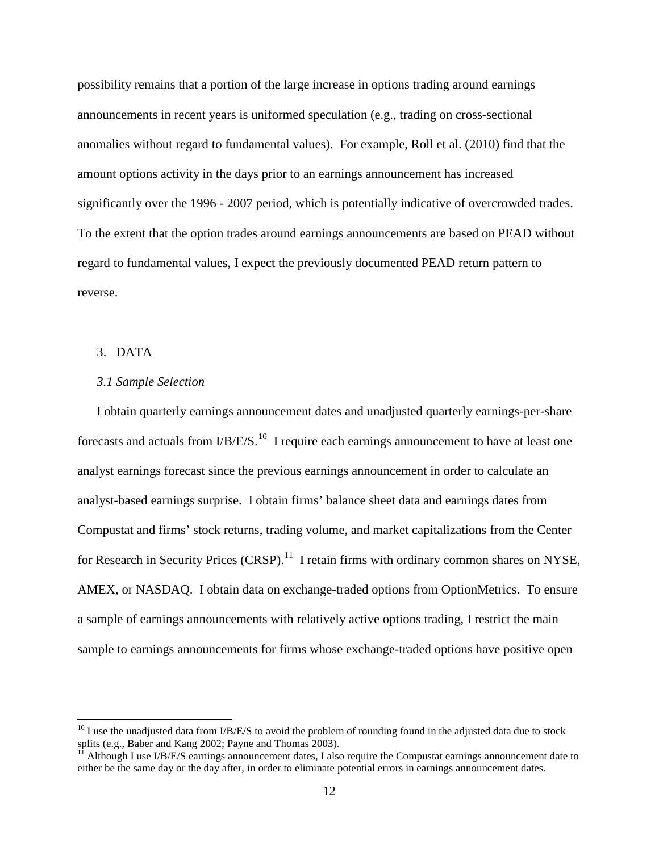possibility remains that a portion of the large increase in options trading around earnings announcements in recent years is uniformed speculation (e.g., trading on cross-sectional anomalies without regard to fundamental values). For example, Roll et al. (2010) find that the amount options activity in the days prior to an earnings announcement has increased significantly over the 1996 - 2007 period, which is potentially indicative of overcrowded trades. To the extent that the option trades around earnings announcements are based on PEAD without regard to fundamental values, I expect the previously documented PEAD return pattern to reverse.

### 3. DATA

### *3.1 Sample Selection*

I obtain quarterly earnings announcement dates and unadjusted quarterly earnings-per-share forecasts and actuals from  $I/B/E/S$ .<sup>[10](#page-12-0)</sup> I require each earnings announcement to have at least one analyst earnings forecast since the previous earnings announcement in order to calculate an analyst-based earnings surprise. I obtain firms' balance sheet data and earnings dates from Compustat and firms' stock returns, trading volume, and market capitalizations from the Center for Research in Security Prices  $(CRSP)$ .<sup>11</sup> I retain firms with ordinary common shares on NYSE, AMEX, or NASDAQ. I obtain data on exchange-traded options from OptionMetrics. To ensure a sample of earnings announcements with relatively active options trading, I restrict the main sample to earnings announcements for firms whose exchange-traded options have positive open

<span id="page-12-0"></span><sup>&</sup>lt;sup>10</sup> I use the unadjusted data from I/B/E/S to avoid the problem of rounding found in the adjusted data due to stock splits (e.g., Baber and Kang 2002; Payne and Thomas 2003).

<span id="page-12-1"></span>Although I use I/B/E/S earnings announcement dates, I also require the Compustat earnings announcement date to either be the same day or the day after, in order to eliminate potential errors in earnings announcement dates.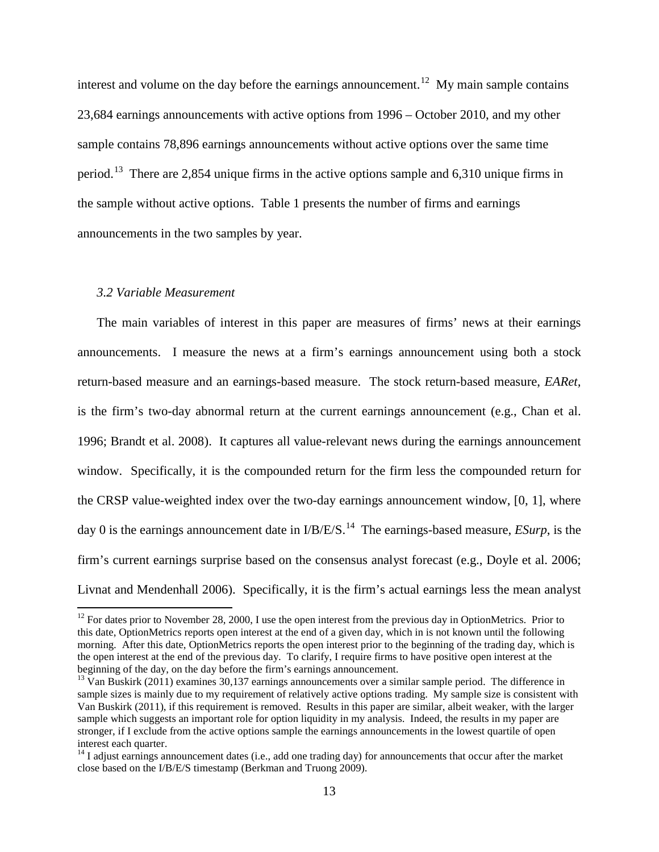interest and volume on the day before the earnings announcement.<sup>[12](#page-13-0)</sup> My main sample contains 23,684 earnings announcements with active options from 1996 – October 2010, and my other sample contains 78,896 earnings announcements without active options over the same time period.<sup>[13](#page-13-1)</sup> There are 2,854 unique firms in the active options sample and 6,310 unique firms in the sample without active options. Table 1 presents the number of firms and earnings announcements in the two samples by year.

### *3.2 Variable Measurement*

The main variables of interest in this paper are measures of firms' news at their earnings announcements. I measure the news at a firm's earnings announcement using both a stock return-based measure and an earnings-based measure. The stock return-based measure, *EARet,* is the firm's two-day abnormal return at the current earnings announcement (e.g., Chan et al. 1996; Brandt et al. 2008). It captures all value-relevant news during the earnings announcement window. Specifically, it is the compounded return for the firm less the compounded return for the CRSP value-weighted index over the two-day earnings announcement window, [0, 1], where day 0 is the earnings announcement date in  $I/B/E/S$ .<sup>14</sup> The earnings-based measure, *ESurp*, is the firm's current earnings surprise based on the consensus analyst forecast (e.g., Doyle et al. 2006; Livnat and Mendenhall 2006). Specifically, it is the firm's actual earnings less the mean analyst

<span id="page-13-0"></span> $12$  For dates prior to November 28, 2000, I use the open interest from the previous day in OptionMetrics. Prior to this date, OptionMetrics reports open interest at the end of a given day, which in is not known until the following morning. After this date, OptionMetrics reports the open interest prior to the beginning of the trading day, which is the open interest at the end of the previous day. To clarify, I require firms to have positive open interest at the beginning of the day, on the day before the firm's earnings announcement.

<span id="page-13-1"></span> $\frac{13}{13}$  Van Buskirk (2011) examines 30,137 earnings announcements over a similar sample period. The difference in sample sizes is mainly due to my requirement of relatively active options trading. My sample size is consistent with Van Buskirk (2011), if this requirement is removed. Results in this paper are similar, albeit weaker, with the larger sample which suggests an important role for option liquidity in my analysis. Indeed, the results in my paper are stronger, if I exclude from the active options sample the earnings announcements in the lowest quartile of open interest each quarter.

<span id="page-13-2"></span> $14$  I adjust earnings announcement dates (i.e., add one trading day) for announcements that occur after the market close based on the I/B/E/S timestamp (Berkman and Truong 2009).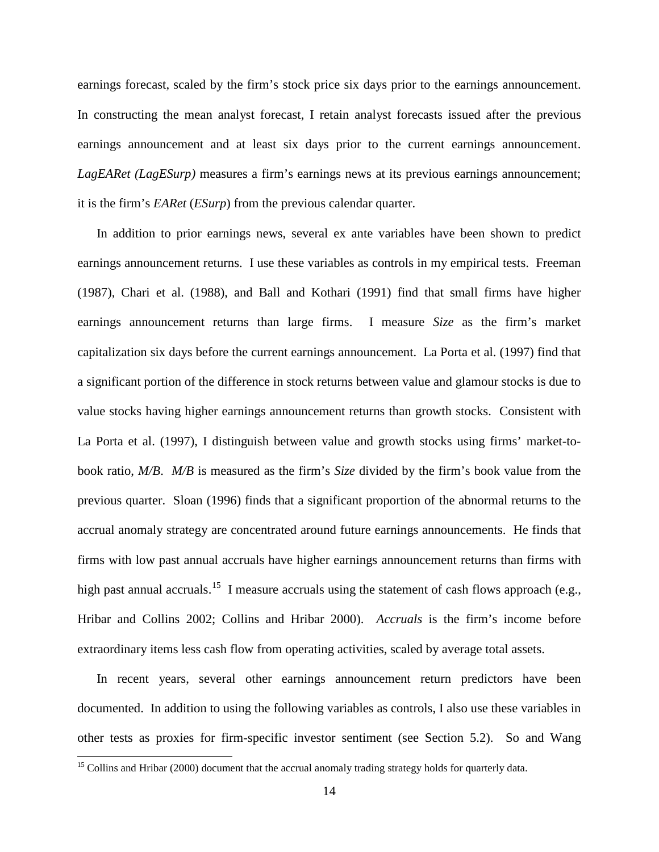earnings forecast, scaled by the firm's stock price six days prior to the earnings announcement. In constructing the mean analyst forecast, I retain analyst forecasts issued after the previous earnings announcement and at least six days prior to the current earnings announcement. *LagEARet (LagESurp)* measures a firm's earnings news at its previous earnings announcement; it is the firm's *EARet* (*ESurp*) from the previous calendar quarter.

In addition to prior earnings news, several ex ante variables have been shown to predict earnings announcement returns. I use these variables as controls in my empirical tests. Freeman (1987), Chari et al. (1988), and Ball and Kothari (1991) find that small firms have higher earnings announcement returns than large firms. I measure *Size* as the firm's market capitalization six days before the current earnings announcement. La Porta et al. (1997) find that a significant portion of the difference in stock returns between value and glamour stocks is due to value stocks having higher earnings announcement returns than growth stocks. Consistent with La Porta et al. (1997), I distinguish between value and growth stocks using firms' market-tobook ratio, *M/B*. *M/B* is measured as the firm's *Size* divided by the firm's book value from the previous quarter. Sloan (1996) finds that a significant proportion of the abnormal returns to the accrual anomaly strategy are concentrated around future earnings announcements. He finds that firms with low past annual accruals have higher earnings announcement returns than firms with high past annual accruals.<sup>[15](#page-14-0)</sup> I measure accruals using the statement of cash flows approach (e.g., Hribar and Collins 2002; Collins and Hribar 2000). *Accruals* is the firm's income before extraordinary items less cash flow from operating activities, scaled by average total assets.

In recent years, several other earnings announcement return predictors have been documented. In addition to using the following variables as controls, I also use these variables in other tests as proxies for firm-specific investor sentiment (see Section 5.2). So and Wang

<span id="page-14-0"></span><sup>&</sup>lt;sup>15</sup> Collins and Hribar (2000) document that the accrual anomaly trading strategy holds for quarterly data.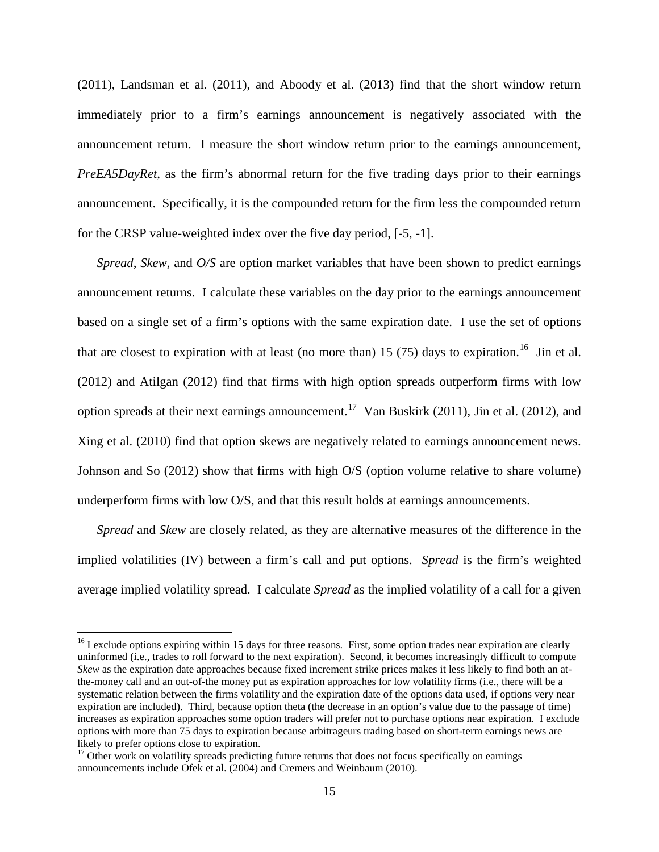(2011), Landsman et al. (2011), and Aboody et al. (2013) find that the short window return immediately prior to a firm's earnings announcement is negatively associated with the announcement return. I measure the short window return prior to the earnings announcement, *PreEA5DayRet*, as the firm's abnormal return for the five trading days prior to their earnings announcement. Specifically, it is the compounded return for the firm less the compounded return for the CRSP value-weighted index over the five day period, [-5, -1].

*Spread*, *Skew*, and *O/S* are option market variables that have been shown to predict earnings announcement returns. I calculate these variables on the day prior to the earnings announcement based on a single set of a firm's options with the same expiration date. I use the set of options that are closest to expiration with at least (no more than) 15 (75) days to expiration.<sup>[16](#page-15-0)</sup> Jin et al. (2012) and Atilgan (2012) find that firms with high option spreads outperform firms with low option spreads at their next earnings announcement.<sup>17</sup> Van Buskirk (2011), Jin et al. (2012), and Xing et al. (2010) find that option skews are negatively related to earnings announcement news. Johnson and So (2012) show that firms with high O/S (option volume relative to share volume) underperform firms with low O/S, and that this result holds at earnings announcements.

*Spread* and *Skew* are closely related, as they are alternative measures of the difference in the implied volatilities (IV) between a firm's call and put options. *Spread* is the firm's weighted average implied volatility spread. I calculate *Spread* as the implied volatility of a call for a given

<span id="page-15-0"></span> $16$  I exclude options expiring within 15 days for three reasons. First, some option trades near expiration are clearly uninformed (i.e., trades to roll forward to the next expiration). Second, it becomes increasingly difficult to compute *Skew* as the expiration date approaches because fixed increment strike prices makes it less likely to find both an atthe-money call and an out-of-the money put as expiration approaches for low volatility firms (i.e., there will be a systematic relation between the firms volatility and the expiration date of the options data used, if options very near expiration are included). Third, because option theta (the decrease in an option's value due to the passage of time) increases as expiration approaches some option traders will prefer not to purchase options near expiration. I exclude options with more than 75 days to expiration because arbitrageurs trading based on short-term earnings news are likely to prefer options close to expiration.

<span id="page-15-1"></span><sup>&</sup>lt;sup>17</sup> Other work on volatility spreads predicting future returns that does not focus specifically on earnings announcements include Ofek et al. (2004) and Cremers and Weinbaum (2010).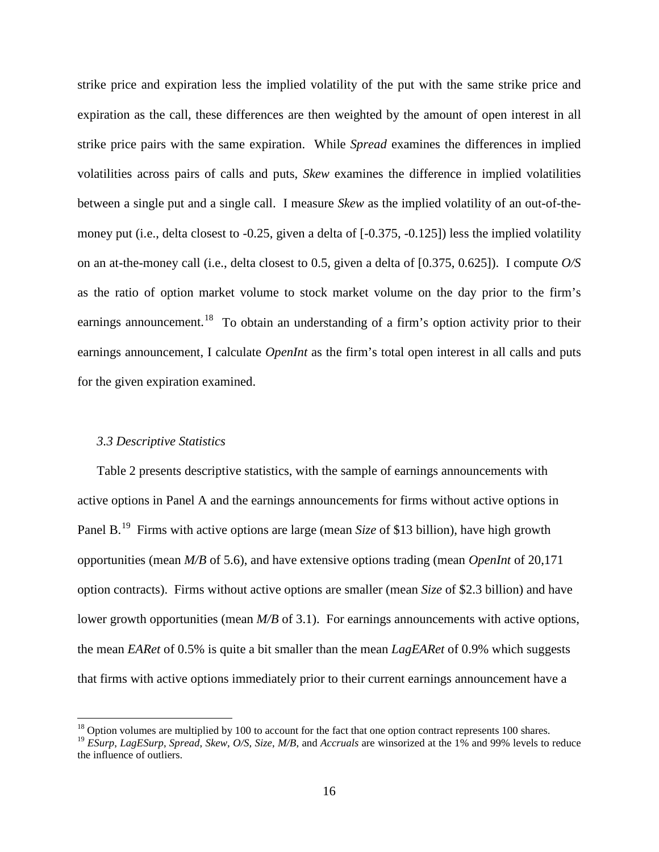strike price and expiration less the implied volatility of the put with the same strike price and expiration as the call, these differences are then weighted by the amount of open interest in all strike price pairs with the same expiration. While *Spread* examines the differences in implied volatilities across pairs of calls and puts, *Skew* examines the difference in implied volatilities between a single put and a single call. I measure *Skew* as the implied volatility of an out-of-themoney put (i.e., delta closest to -0.25, given a delta of [-0.375, -0.125]) less the implied volatility on an at-the-money call (i.e., delta closest to 0.5, given a delta of [0.375, 0.625]). I compute *O/S*  as the ratio of option market volume to stock market volume on the day prior to the firm's earnings announcement.<sup>[18](#page-16-0)</sup> To obtain an understanding of a firm's option activity prior to their earnings announcement, I calculate *OpenInt* as the firm's total open interest in all calls and puts for the given expiration examined.

### *3.3 Descriptive Statistics*

Table 2 presents descriptive statistics, with the sample of earnings announcements with active options in Panel A and the earnings announcements for firms without active options in Panel B. [19](#page-16-1) Firms with active options are large (mean *Size* of \$13 billion), have high growth opportunities (mean *M/B* of 5.6), and have extensive options trading (mean *OpenInt* of 20,171 option contracts). Firms without active options are smaller (mean *Size* of \$2.3 billion) and have lower growth opportunities (mean *M/B* of 3.1). For earnings announcements with active options, the mean *EARet* of 0.5% is quite a bit smaller than the mean *LagEARet* of 0.9% which suggests that firms with active options immediately prior to their current earnings announcement have a

<span id="page-16-0"></span><sup>&</sup>lt;sup>18</sup> Option volumes are multiplied by 100 to account for the fact that one option contract represents 100 shares.<br><sup>19</sup> *ESurp, LagESurp, Spread, Skew, O/S, Size, M/B,* and *Accruals* are winsorized at the 1% and 99% level

<span id="page-16-1"></span>the influence of outliers.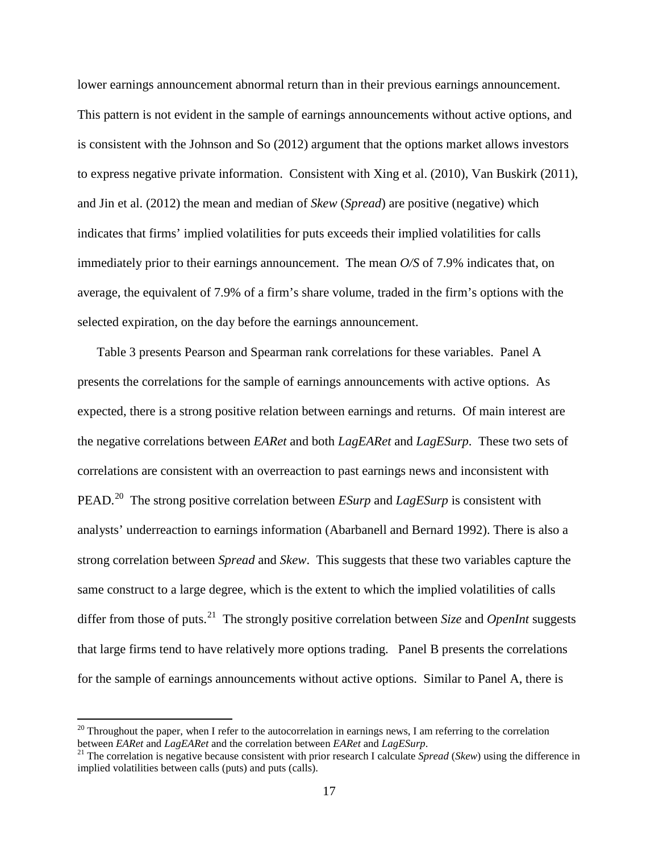lower earnings announcement abnormal return than in their previous earnings announcement. This pattern is not evident in the sample of earnings announcements without active options, and is consistent with the Johnson and So (2012) argument that the options market allows investors to express negative private information. Consistent with Xing et al. (2010), Van Buskirk (2011), and Jin et al. (2012) the mean and median of *Skew* (*Spread*) are positive (negative) which indicates that firms' implied volatilities for puts exceeds their implied volatilities for calls immediately prior to their earnings announcement. The mean *O/S* of 7.9% indicates that, on average, the equivalent of 7.9% of a firm's share volume, traded in the firm's options with the selected expiration, on the day before the earnings announcement.

Table 3 presents Pearson and Spearman rank correlations for these variables. Panel A presents the correlations for the sample of earnings announcements with active options. As expected, there is a strong positive relation between earnings and returns. Of main interest are the negative correlations between *EARet* and both *LagEARet* and *LagESurp*. These two sets of correlations are consistent with an overreaction to past earnings news and inconsistent with PEAD.<sup>20</sup> The strong positive correlation between *ESurp* and *LagESurp* is consistent with analysts' underreaction to earnings information (Abarbanell and Bernard 1992). There is also a strong correlation between *Spread* and *Skew*. This suggests that these two variables capture the same construct to a large degree, which is the extent to which the implied volatilities of calls differ from those of puts. [21](#page-17-1) The strongly positive correlation between *Size* and *OpenInt* suggests that large firms tend to have relatively more options trading. Panel B presents the correlations for the sample of earnings announcements without active options. Similar to Panel A, there is

<span id="page-17-0"></span><sup>&</sup>lt;sup>20</sup> Throughout the paper, when I refer to the autocorrelation in earnings news, I am referring to the correlation between *EARet* and *LagEARet* and *LagEARet* and *LagESurp*.

<span id="page-17-1"></span><sup>&</sup>lt;sup>21</sup> The correlation is negative because consistent with prior research I calculate *Spread* (Skew) using the difference in implied volatilities between calls (puts) and puts (calls).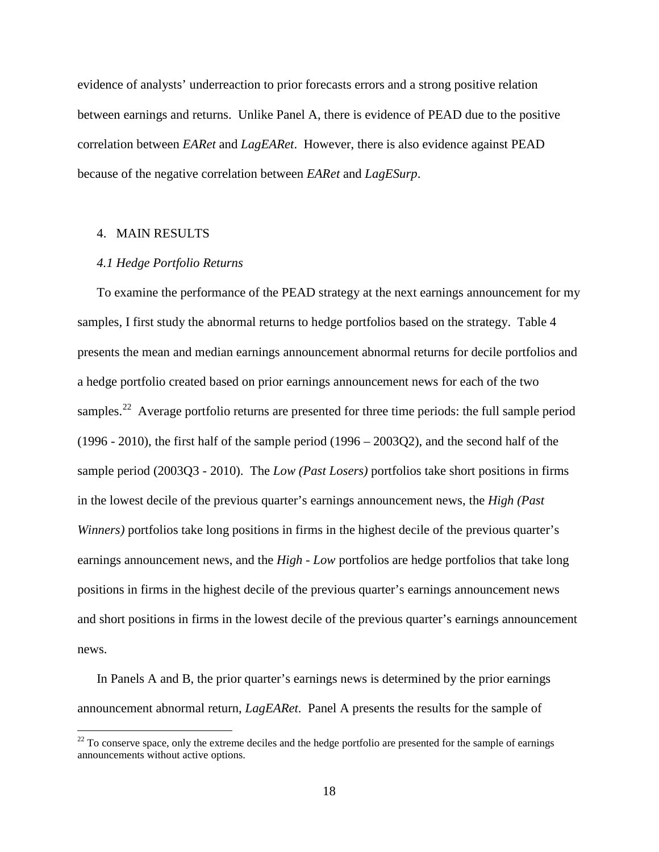evidence of analysts' underreaction to prior forecasts errors and a strong positive relation between earnings and returns. Unlike Panel A, there is evidence of PEAD due to the positive correlation between *EARet* and *LagEARet*. However, there is also evidence against PEAD because of the negative correlation between *EARet* and *LagESurp*.

### 4. MAIN RESULTS

### *4.1 Hedge Portfolio Returns*

To examine the performance of the PEAD strategy at the next earnings announcement for my samples, I first study the abnormal returns to hedge portfolios based on the strategy. Table 4 presents the mean and median earnings announcement abnormal returns for decile portfolios and a hedge portfolio created based on prior earnings announcement news for each of the two samples.<sup>[22](#page-18-0)</sup> Average portfolio returns are presented for three time periods: the full sample period (1996 - 2010), the first half of the sample period (1996 – 2003Q2), and the second half of the sample period (2003Q3 - 2010). The *Low (Past Losers)* portfolios take short positions in firms in the lowest decile of the previous quarter's earnings announcement news, the *High (Past Winners)* portfolios take long positions in firms in the highest decile of the previous quarter's earnings announcement news, and the *High - Low* portfolios are hedge portfolios that take long positions in firms in the highest decile of the previous quarter's earnings announcement news and short positions in firms in the lowest decile of the previous quarter's earnings announcement news.

In Panels A and B, the prior quarter's earnings news is determined by the prior earnings announcement abnormal return, *LagEARet*. Panel A presents the results for the sample of

<span id="page-18-0"></span> $22$  To conserve space, only the extreme deciles and the hedge portfolio are presented for the sample of earnings announcements without active options.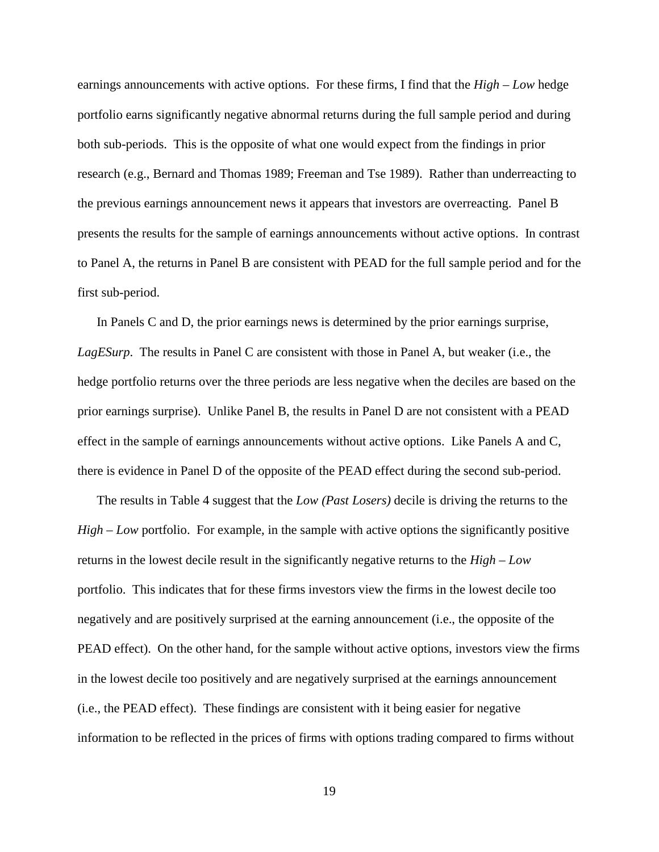earnings announcements with active options. For these firms, I find that the *High – Low* hedge portfolio earns significantly negative abnormal returns during the full sample period and during both sub-periods. This is the opposite of what one would expect from the findings in prior research (e.g., Bernard and Thomas 1989; Freeman and Tse 1989). Rather than underreacting to the previous earnings announcement news it appears that investors are overreacting. Panel B presents the results for the sample of earnings announcements without active options. In contrast to Panel A, the returns in Panel B are consistent with PEAD for the full sample period and for the first sub-period.

In Panels C and D, the prior earnings news is determined by the prior earnings surprise, *LagESurp*. The results in Panel C are consistent with those in Panel A, but weaker (i.e., the hedge portfolio returns over the three periods are less negative when the deciles are based on the prior earnings surprise). Unlike Panel B, the results in Panel D are not consistent with a PEAD effect in the sample of earnings announcements without active options. Like Panels A and C, there is evidence in Panel D of the opposite of the PEAD effect during the second sub-period.

The results in Table 4 suggest that the *Low (Past Losers)* decile is driving the returns to the *High – Low* portfolio. For example, in the sample with active options the significantly positive returns in the lowest decile result in the significantly negative returns to the *High – Low* portfolio. This indicates that for these firms investors view the firms in the lowest decile too negatively and are positively surprised at the earning announcement (i.e., the opposite of the PEAD effect). On the other hand, for the sample without active options, investors view the firms in the lowest decile too positively and are negatively surprised at the earnings announcement (i.e., the PEAD effect). These findings are consistent with it being easier for negative information to be reflected in the prices of firms with options trading compared to firms without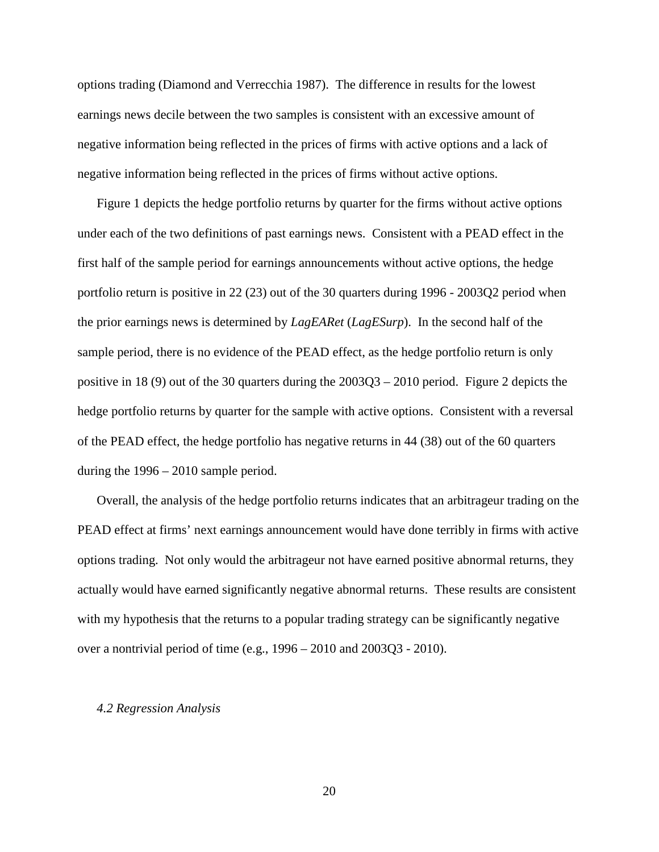options trading (Diamond and Verrecchia 1987). The difference in results for the lowest earnings news decile between the two samples is consistent with an excessive amount of negative information being reflected in the prices of firms with active options and a lack of negative information being reflected in the prices of firms without active options.

Figure 1 depicts the hedge portfolio returns by quarter for the firms without active options under each of the two definitions of past earnings news. Consistent with a PEAD effect in the first half of the sample period for earnings announcements without active options, the hedge portfolio return is positive in 22 (23) out of the 30 quarters during 1996 - 2003Q2 period when the prior earnings news is determined by *LagEARet* (*LagESurp*). In the second half of the sample period, there is no evidence of the PEAD effect, as the hedge portfolio return is only positive in 18 (9) out of the 30 quarters during the 2003Q3 – 2010 period. Figure 2 depicts the hedge portfolio returns by quarter for the sample with active options. Consistent with a reversal of the PEAD effect, the hedge portfolio has negative returns in 44 (38) out of the 60 quarters during the 1996 – 2010 sample period.

Overall, the analysis of the hedge portfolio returns indicates that an arbitrageur trading on the PEAD effect at firms' next earnings announcement would have done terribly in firms with active options trading. Not only would the arbitrageur not have earned positive abnormal returns, they actually would have earned significantly negative abnormal returns. These results are consistent with my hypothesis that the returns to a popular trading strategy can be significantly negative over a nontrivial period of time (e.g., 1996 – 2010 and 2003Q3 - 2010).

#### *4.2 Regression Analysis*

20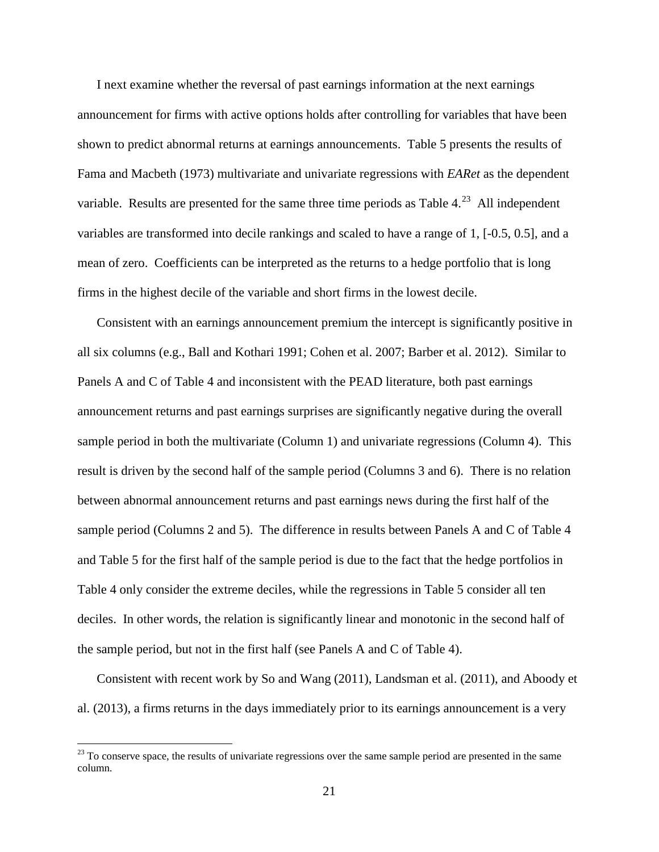I next examine whether the reversal of past earnings information at the next earnings announcement for firms with active options holds after controlling for variables that have been shown to predict abnormal returns at earnings announcements. Table 5 presents the results of Fama and Macbeth (1973) multivariate and univariate regressions with *EARet* as the dependent variable. Results are presented for the same three time periods as Table  $4.^{23}$  All independent variables are transformed into decile rankings and scaled to have a range of 1, [-0.5, 0.5], and a mean of zero. Coefficients can be interpreted as the returns to a hedge portfolio that is long firms in the highest decile of the variable and short firms in the lowest decile.

Consistent with an earnings announcement premium the intercept is significantly positive in all six columns (e.g., Ball and Kothari 1991; Cohen et al. 2007; Barber et al. 2012). Similar to Panels A and C of Table 4 and inconsistent with the PEAD literature, both past earnings announcement returns and past earnings surprises are significantly negative during the overall sample period in both the multivariate (Column 1) and univariate regressions (Column 4). This result is driven by the second half of the sample period (Columns 3 and 6). There is no relation between abnormal announcement returns and past earnings news during the first half of the sample period (Columns 2 and 5). The difference in results between Panels A and C of Table 4 and Table 5 for the first half of the sample period is due to the fact that the hedge portfolios in Table 4 only consider the extreme deciles, while the regressions in Table 5 consider all ten deciles. In other words, the relation is significantly linear and monotonic in the second half of the sample period, but not in the first half (see Panels A and C of Table 4).

Consistent with recent work by So and Wang (2011), Landsman et al. (2011), and Aboody et al. (2013), a firms returns in the days immediately prior to its earnings announcement is a very

<span id="page-21-0"></span> $^{23}$  To conserve space, the results of univariate regressions over the same sample period are presented in the same column.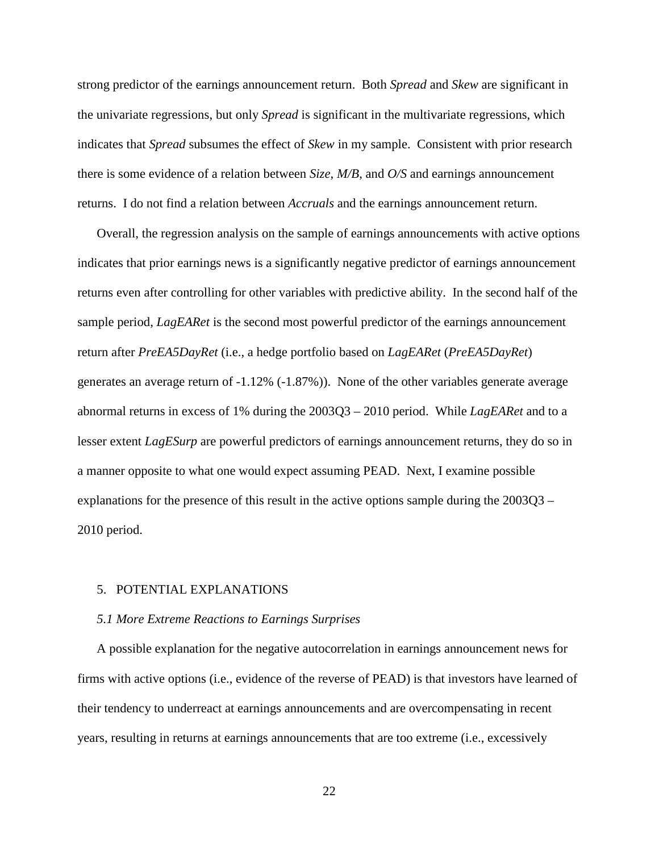strong predictor of the earnings announcement return. Both *Spread* and *Skew* are significant in the univariate regressions, but only *Spread* is significant in the multivariate regressions, which indicates that *Spread* subsumes the effect of *Skew* in my sample. Consistent with prior research there is some evidence of a relation between *Size*, *M/B*, and *O/S* and earnings announcement returns. I do not find a relation between *Accruals* and the earnings announcement return.

Overall, the regression analysis on the sample of earnings announcements with active options indicates that prior earnings news is a significantly negative predictor of earnings announcement returns even after controlling for other variables with predictive ability. In the second half of the sample period, *LagEARet* is the second most powerful predictor of the earnings announcement return after *PreEA5DayRet* (i.e., a hedge portfolio based on *LagEARet* (*PreEA5DayRet*) generates an average return of -1.12% (-1.87%)). None of the other variables generate average abnormal returns in excess of 1% during the 2003Q3 – 2010 period. While *LagEARet* and to a lesser extent *LagESurp* are powerful predictors of earnings announcement returns, they do so in a manner opposite to what one would expect assuming PEAD. Next, I examine possible explanations for the presence of this result in the active options sample during the 2003Q3 – 2010 period.

### 5. POTENTIAL EXPLANATIONS

#### *5.1 More Extreme Reactions to Earnings Surprises*

A possible explanation for the negative autocorrelation in earnings announcement news for firms with active options (i.e., evidence of the reverse of PEAD) is that investors have learned of their tendency to underreact at earnings announcements and are overcompensating in recent years, resulting in returns at earnings announcements that are too extreme (i.e., excessively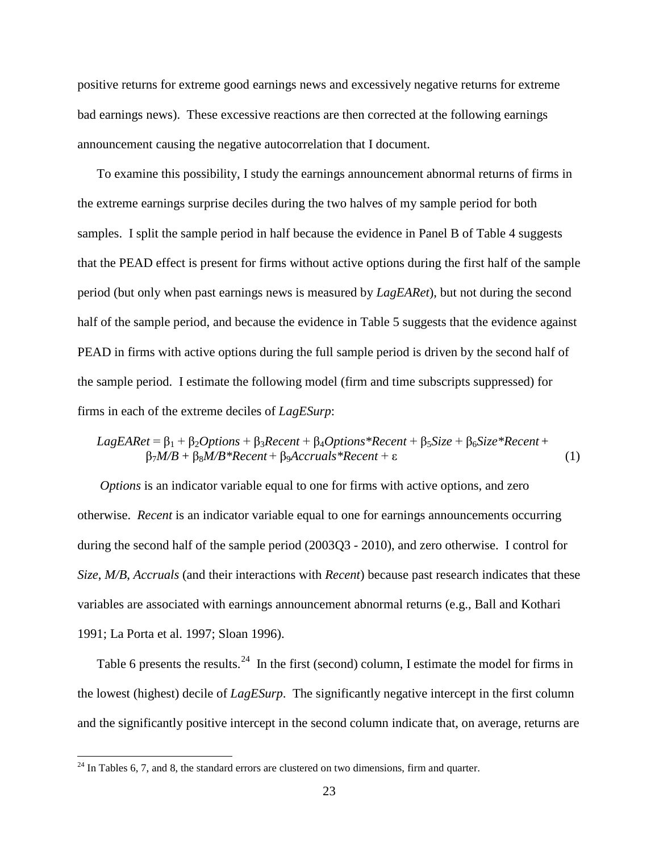positive returns for extreme good earnings news and excessively negative returns for extreme bad earnings news). These excessive reactions are then corrected at the following earnings announcement causing the negative autocorrelation that I document.

To examine this possibility, I study the earnings announcement abnormal returns of firms in the extreme earnings surprise deciles during the two halves of my sample period for both samples. I split the sample period in half because the evidence in Panel B of Table 4 suggests that the PEAD effect is present for firms without active options during the first half of the sample period (but only when past earnings news is measured by *LagEARet*), but not during the second half of the sample period, and because the evidence in Table 5 suggests that the evidence against PEAD in firms with active options during the full sample period is driven by the second half of the sample period. I estimate the following model (firm and time subscripts suppressed) for firms in each of the extreme deciles of *LagESurp*:

*LagEAREt* = 
$$
β_1 + β_2
$$
*Options* +  $β_3$ *Recent* +  $β_4$ *Options*<sup>\*</sup>*Recent* +  $β_5$ *Size* +  $β_6$ *Size*<sup>\*</sup>*Recent* +  $β_7$ *M/B* +  $β_8$ *M/B*<sup>\*</sup>*Recent* +  $β_9$ *Accruals*<sup>\*</sup>*Recent* +  $ε$  (1)

*Options* is an indicator variable equal to one for firms with active options, and zero otherwise. *Recent* is an indicator variable equal to one for earnings announcements occurring during the second half of the sample period (2003Q3 - 2010), and zero otherwise. I control for *Size*, *M/B*, *Accruals* (and their interactions with *Recent*) because past research indicates that these variables are associated with earnings announcement abnormal returns (e.g., Ball and Kothari 1991; La Porta et al. 1997; Sloan 1996).

Table 6 presents the results.<sup>[24](#page-23-0)</sup> In the first (second) column, I estimate the model for firms in the lowest (highest) decile of *LagESurp*. The significantly negative intercept in the first column and the significantly positive intercept in the second column indicate that, on average, returns are

<span id="page-23-0"></span> $24$  In Tables 6, 7, and 8, the standard errors are clustered on two dimensions, firm and quarter.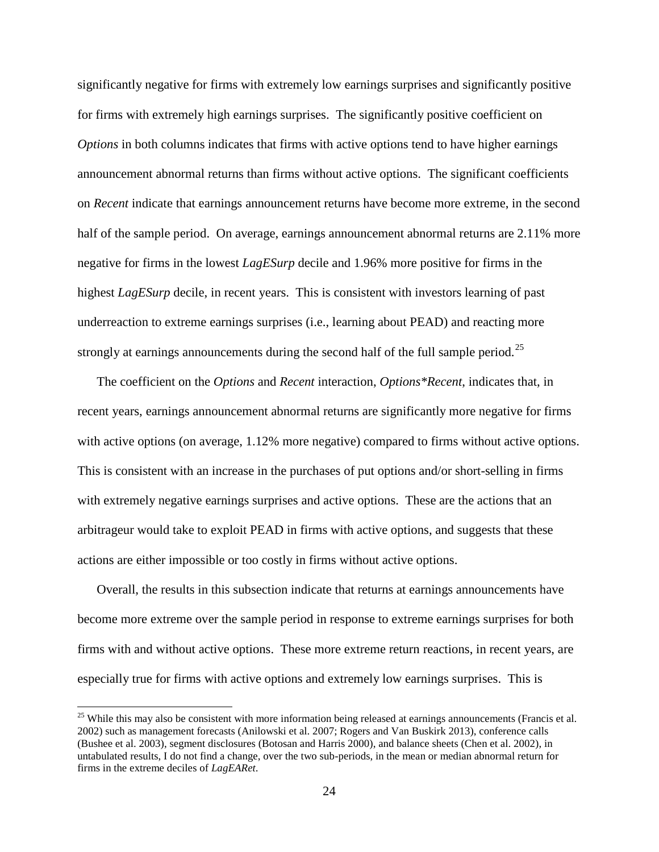significantly negative for firms with extremely low earnings surprises and significantly positive for firms with extremely high earnings surprises. The significantly positive coefficient on *Options* in both columns indicates that firms with active options tend to have higher earnings announcement abnormal returns than firms without active options. The significant coefficients on *Recent* indicate that earnings announcement returns have become more extreme, in the second half of the sample period. On average, earnings announcement abnormal returns are 2.11% more negative for firms in the lowest *LagESurp* decile and 1.96% more positive for firms in the highest *LagESurp* decile, in recent years. This is consistent with investors learning of past underreaction to extreme earnings surprises (i.e., learning about PEAD) and reacting more strongly at earnings announcements during the second half of the full sample period.<sup>25</sup>

The coefficient on the *Options* and *Recent* interaction, *Options\*Recent*, indicates that, in recent years, earnings announcement abnormal returns are significantly more negative for firms with active options (on average, 1.12% more negative) compared to firms without active options. This is consistent with an increase in the purchases of put options and/or short-selling in firms with extremely negative earnings surprises and active options. These are the actions that an arbitrageur would take to exploit PEAD in firms with active options, and suggests that these actions are either impossible or too costly in firms without active options.

Overall, the results in this subsection indicate that returns at earnings announcements have become more extreme over the sample period in response to extreme earnings surprises for both firms with and without active options. These more extreme return reactions, in recent years, are especially true for firms with active options and extremely low earnings surprises. This is

<span id="page-24-0"></span> $25$  While this may also be consistent with more information being released at earnings announcements (Francis et al. 2002) such as management forecasts (Anilowski et al. 2007; Rogers and Van Buskirk 2013), conference calls (Bushee et al. 2003), segment disclosures (Botosan and Harris 2000), and balance sheets (Chen et al. 2002), in untabulated results, I do not find a change, over the two sub-periods, in the mean or median abnormal return for firms in the extreme deciles of *LagEARet*.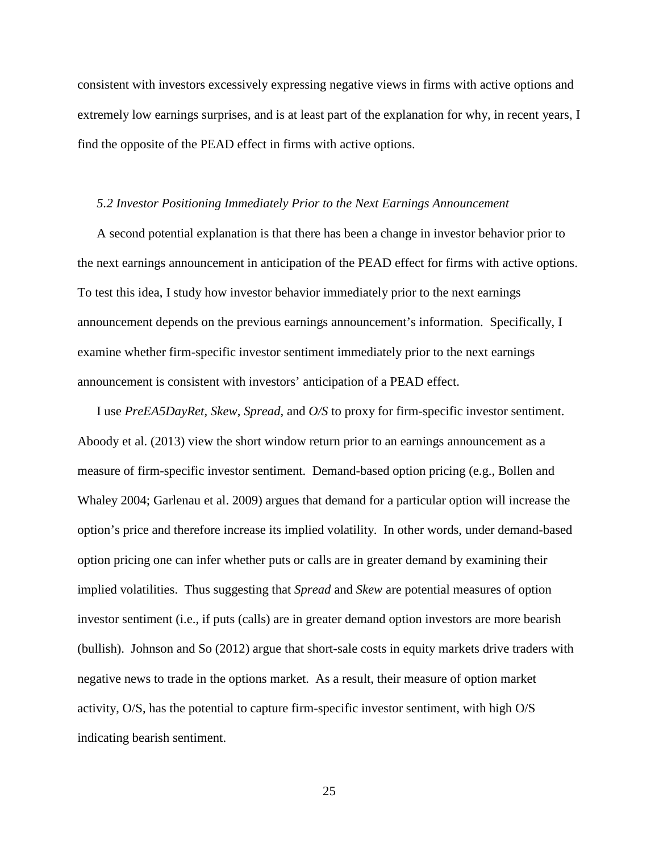consistent with investors excessively expressing negative views in firms with active options and extremely low earnings surprises, and is at least part of the explanation for why, in recent years, I find the opposite of the PEAD effect in firms with active options.

### *5.2 Investor Positioning Immediately Prior to the Next Earnings Announcement*

A second potential explanation is that there has been a change in investor behavior prior to the next earnings announcement in anticipation of the PEAD effect for firms with active options. To test this idea, I study how investor behavior immediately prior to the next earnings announcement depends on the previous earnings announcement's information. Specifically, I examine whether firm-specific investor sentiment immediately prior to the next earnings announcement is consistent with investors' anticipation of a PEAD effect.

I use *PreEA5DayRet*, *Skew*, *Spread*, and *O/S* to proxy for firm-specific investor sentiment. Aboody et al. (2013) view the short window return prior to an earnings announcement as a measure of firm-specific investor sentiment. Demand-based option pricing (e.g., Bollen and Whaley 2004; Garlenau et al. 2009) argues that demand for a particular option will increase the option's price and therefore increase its implied volatility. In other words, under demand-based option pricing one can infer whether puts or calls are in greater demand by examining their implied volatilities. Thus suggesting that *Spread* and *Skew* are potential measures of option investor sentiment (i.e., if puts (calls) are in greater demand option investors are more bearish (bullish). Johnson and So (2012) argue that short-sale costs in equity markets drive traders with negative news to trade in the options market. As a result, their measure of option market activity, O/S, has the potential to capture firm-specific investor sentiment, with high O/S indicating bearish sentiment.

25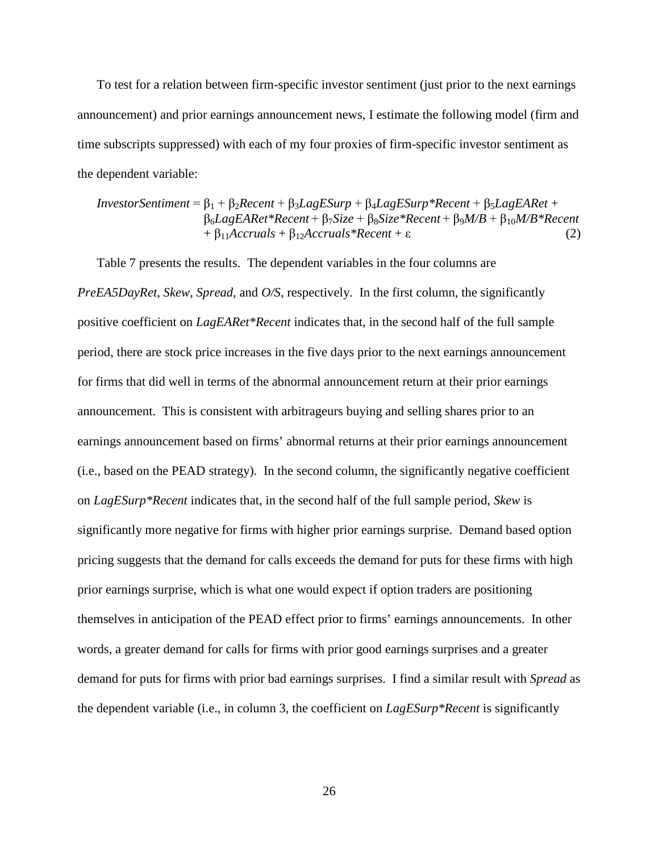To test for a relation between firm-specific investor sentiment (just prior to the next earnings announcement) and prior earnings announcement news, I estimate the following model (firm and time subscripts suppressed) with each of my four proxies of firm-specific investor sentiment as the dependent variable:

 $InvestorSentiment =  $\beta_1 + \beta_2 Recent + \beta_3 LagESurp + \beta_4 LagESurp * Recent + \beta_5 LagEAREt +$$ β6*LagEARet\*Recent* + β7*Size* + β8*Size\*Recent* + β9*M/B* + β10*M/B\*Recent*   $+ \beta_{11}$ *Accruals*  $+ \beta_{12}$ *Accruals*\**Recent* + ε (2)

Table 7 presents the results. The dependent variables in the four columns are *PreEA5DayRet, Skew, Spread, and O/S, respectively.* In the first column, the significantly positive coefficient on *LagEARet\*Recent* indicates that, in the second half of the full sample period, there are stock price increases in the five days prior to the next earnings announcement for firms that did well in terms of the abnormal announcement return at their prior earnings announcement. This is consistent with arbitrageurs buying and selling shares prior to an earnings announcement based on firms' abnormal returns at their prior earnings announcement (i.e., based on the PEAD strategy). In the second column, the significantly negative coefficient on *LagESurp\*Recent* indicates that, in the second half of the full sample period, *Skew* is significantly more negative for firms with higher prior earnings surprise. Demand based option pricing suggests that the demand for calls exceeds the demand for puts for these firms with high prior earnings surprise, which is what one would expect if option traders are positioning themselves in anticipation of the PEAD effect prior to firms' earnings announcements. In other words, a greater demand for calls for firms with prior good earnings surprises and a greater demand for puts for firms with prior bad earnings surprises. I find a similar result with *Spread* as the dependent variable (i.e., in column 3, the coefficient on *LagESurp\*Recent* is significantly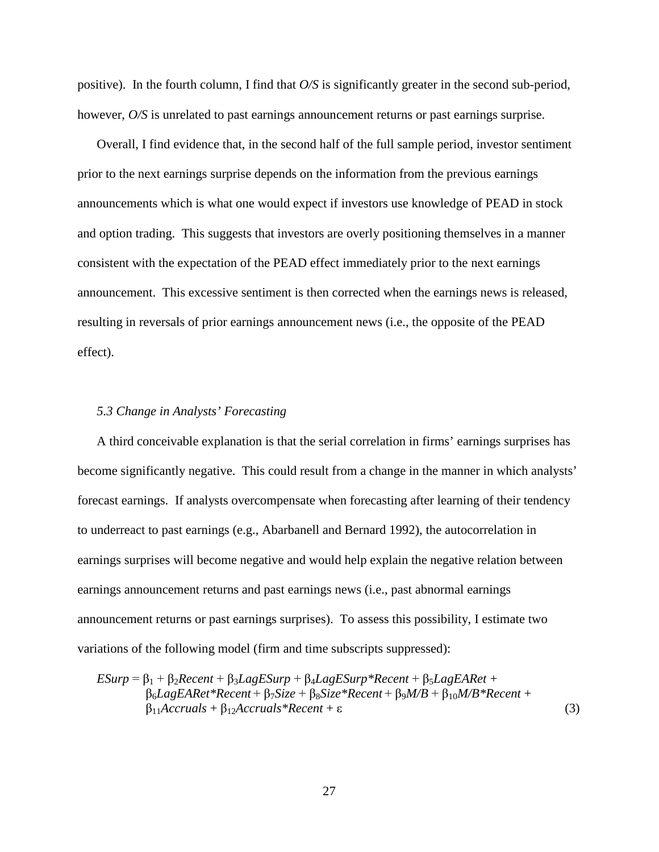positive). In the fourth column, I find that *O/S* is significantly greater in the second sub-period, however,  $O/S$  is unrelated to past earnings announcement returns or past earnings surprise.

Overall, I find evidence that, in the second half of the full sample period, investor sentiment prior to the next earnings surprise depends on the information from the previous earnings announcements which is what one would expect if investors use knowledge of PEAD in stock and option trading. This suggests that investors are overly positioning themselves in a manner consistent with the expectation of the PEAD effect immediately prior to the next earnings announcement. This excessive sentiment is then corrected when the earnings news is released, resulting in reversals of prior earnings announcement news (i.e., the opposite of the PEAD effect).

### *5.3 Change in Analysts' Forecasting*

A third conceivable explanation is that the serial correlation in firms' earnings surprises has become significantly negative. This could result from a change in the manner in which analysts' forecast earnings. If analysts overcompensate when forecasting after learning of their tendency to underreact to past earnings (e.g., Abarbanell and Bernard 1992), the autocorrelation in earnings surprises will become negative and would help explain the negative relation between earnings announcement returns and past earnings news (i.e., past abnormal earnings announcement returns or past earnings surprises). To assess this possibility, I estimate two variations of the following model (firm and time subscripts suppressed):

$$
ESurp = \beta_1 + \beta_2 Recent + \beta_3 LagESurp + \beta_4 LagESurp * Recent + \beta_5 LagEAREt + \n\beta_6 LagEAREt * Recent + \beta_7 Size + \beta_8 Size * Recent + \beta_9 M/B + \beta_{10} M/B * Recent + \n\beta_{11} Accruals + \beta_{12} Accruals * Recent + \varepsilon
$$
\n(3)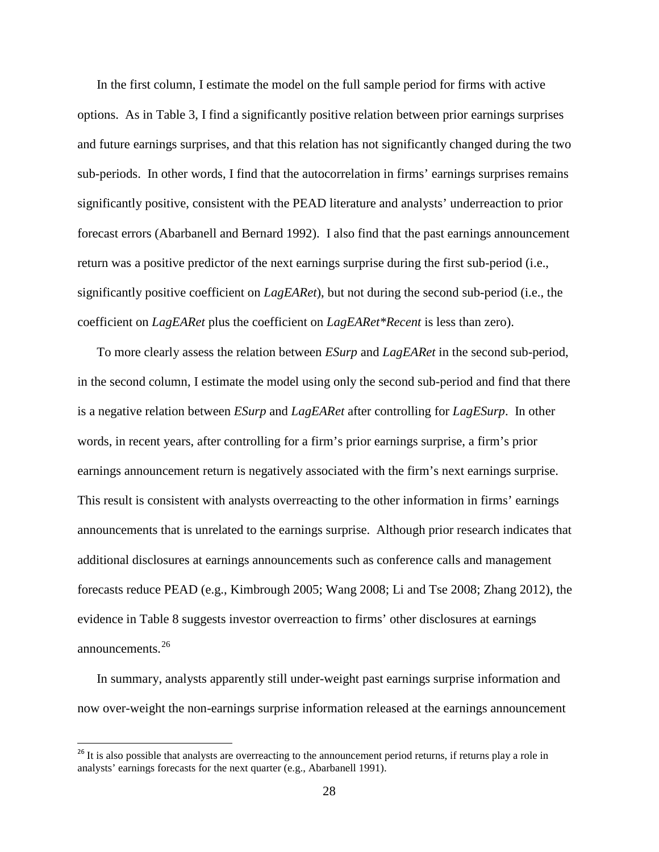In the first column, I estimate the model on the full sample period for firms with active options. As in Table 3, I find a significantly positive relation between prior earnings surprises and future earnings surprises, and that this relation has not significantly changed during the two sub-periods. In other words, I find that the autocorrelation in firms' earnings surprises remains significantly positive, consistent with the PEAD literature and analysts' underreaction to prior forecast errors (Abarbanell and Bernard 1992). I also find that the past earnings announcement return was a positive predictor of the next earnings surprise during the first sub-period (i.e., significantly positive coefficient on *LagEARet*), but not during the second sub-period (i.e., the coefficient on *LagEARet* plus the coefficient on *LagEARet\*Recent* is less than zero).

To more clearly assess the relation between *ESurp* and *LagEARet* in the second sub-period, in the second column, I estimate the model using only the second sub-period and find that there is a negative relation between *ESurp* and *LagEARet* after controlling for *LagESurp*. In other words, in recent years, after controlling for a firm's prior earnings surprise, a firm's prior earnings announcement return is negatively associated with the firm's next earnings surprise. This result is consistent with analysts overreacting to the other information in firms' earnings announcements that is unrelated to the earnings surprise. Although prior research indicates that additional disclosures at earnings announcements such as conference calls and management forecasts reduce PEAD (e.g., Kimbrough 2005; Wang 2008; Li and Tse 2008; Zhang 2012), the evidence in Table 8 suggests investor overreaction to firms' other disclosures at earnings announcements.<sup>[26](#page-28-0)</sup>

In summary, analysts apparently still under-weight past earnings surprise information and now over-weight the non-earnings surprise information released at the earnings announcement

<span id="page-28-0"></span><sup>&</sup>lt;sup>26</sup> It is also possible that analysts are overreacting to the announcement period returns, if returns play a role in analysts' earnings forecasts for the next quarter (e.g., Abarbanell 1991).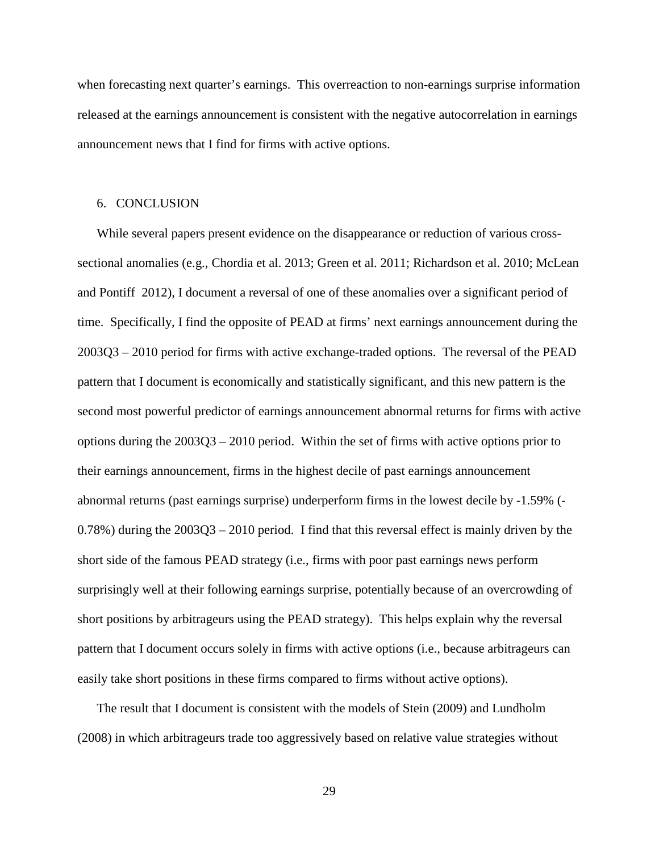when forecasting next quarter's earnings. This overreaction to non-earnings surprise information released at the earnings announcement is consistent with the negative autocorrelation in earnings announcement news that I find for firms with active options.

### 6. CONCLUSION

While several papers present evidence on the disappearance or reduction of various crosssectional anomalies (e.g., Chordia et al. 2013; Green et al. 2011; Richardson et al. 2010; McLean and Pontiff 2012), I document a reversal of one of these anomalies over a significant period of time. Specifically, I find the opposite of PEAD at firms' next earnings announcement during the 2003Q3 – 2010 period for firms with active exchange-traded options. The reversal of the PEAD pattern that I document is economically and statistically significant, and this new pattern is the second most powerful predictor of earnings announcement abnormal returns for firms with active options during the 2003Q3 – 2010 period. Within the set of firms with active options prior to their earnings announcement, firms in the highest decile of past earnings announcement abnormal returns (past earnings surprise) underperform firms in the lowest decile by -1.59% (- 0.78%) during the 2003Q3 – 2010 period. I find that this reversal effect is mainly driven by the short side of the famous PEAD strategy (i.e., firms with poor past earnings news perform surprisingly well at their following earnings surprise, potentially because of an overcrowding of short positions by arbitrageurs using the PEAD strategy). This helps explain why the reversal pattern that I document occurs solely in firms with active options (i.e., because arbitrageurs can easily take short positions in these firms compared to firms without active options).

The result that I document is consistent with the models of Stein (2009) and Lundholm (2008) in which arbitrageurs trade too aggressively based on relative value strategies without

29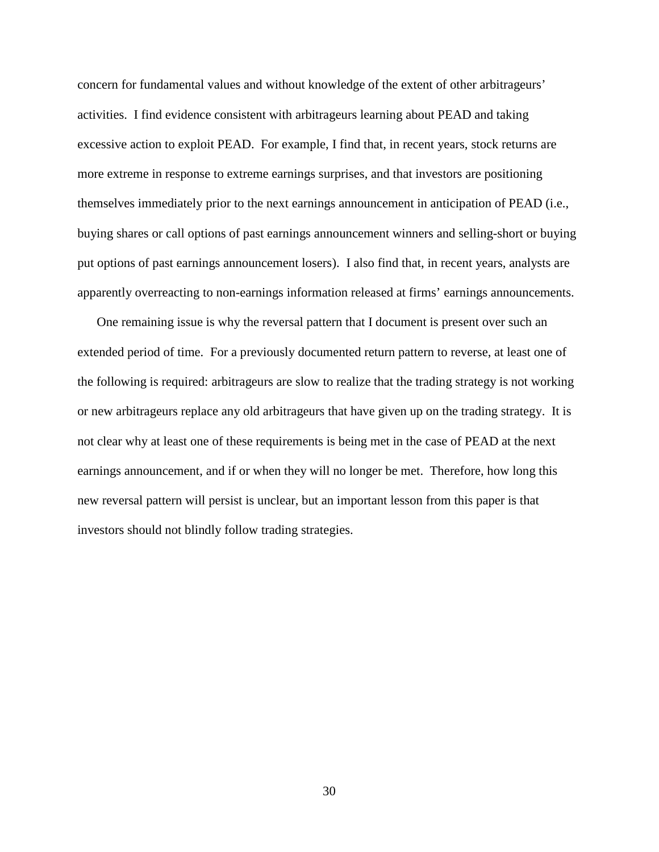concern for fundamental values and without knowledge of the extent of other arbitrageurs' activities. I find evidence consistent with arbitrageurs learning about PEAD and taking excessive action to exploit PEAD. For example, I find that, in recent years, stock returns are more extreme in response to extreme earnings surprises, and that investors are positioning themselves immediately prior to the next earnings announcement in anticipation of PEAD (i.e., buying shares or call options of past earnings announcement winners and selling-short or buying put options of past earnings announcement losers). I also find that, in recent years, analysts are apparently overreacting to non-earnings information released at firms' earnings announcements.

One remaining issue is why the reversal pattern that I document is present over such an extended period of time. For a previously documented return pattern to reverse, at least one of the following is required: arbitrageurs are slow to realize that the trading strategy is not working or new arbitrageurs replace any old arbitrageurs that have given up on the trading strategy. It is not clear why at least one of these requirements is being met in the case of PEAD at the next earnings announcement, and if or when they will no longer be met. Therefore, how long this new reversal pattern will persist is unclear, but an important lesson from this paper is that investors should not blindly follow trading strategies.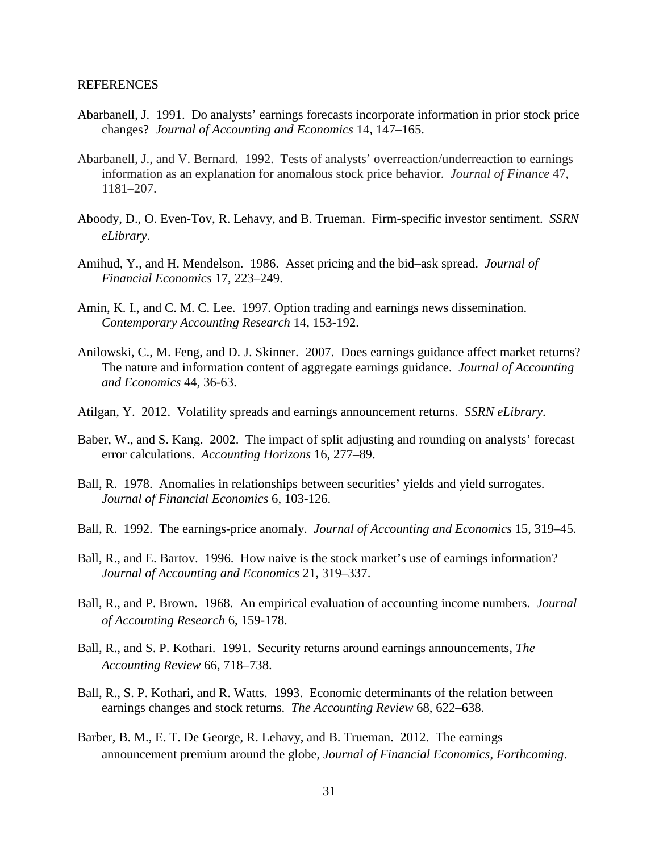#### REFERENCES

- Abarbanell, J. 1991. Do analysts' earnings forecasts incorporate information in prior stock price changes? *Journal of Accounting and Economics* 14, 147–165.
- Abarbanell, J., and V. Bernard. 1992. Tests of analysts' overreaction/underreaction to earnings information as an explanation for anomalous stock price behavior. *Journal of Finance* 47, 1181–207.
- Aboody, D., O. Even-Tov, R. Lehavy, and B. Trueman. Firm-specific investor sentiment. *SSRN eLibrary*.
- Amihud, Y., and H. Mendelson. 1986. Asset pricing and the bid–ask spread. *Journal of Financial Economics* 17, 223–249.
- Amin, K. I., and C. M. C. Lee. 1997. Option trading and earnings news dissemination. *Contemporary Accounting Research* 14, 153-192.
- Anilowski, C., M. Feng, and D. J. Skinner. 2007. Does earnings guidance affect market returns? The nature and information content of aggregate earnings guidance. *Journal of Accounting and Economics* 44, 36-63.
- Atilgan, Y. 2012. Volatility spreads and earnings announcement returns. *SSRN eLibrary*.
- Baber, W., and S. Kang. 2002. The impact of split adjusting and rounding on analysts' forecast error calculations. *Accounting Horizons* 16, 277–89.
- Ball, R. 1978. Anomalies in relationships between securities' yields and yield surrogates. *Journal of Financial Economics* 6, 103-126.
- Ball, R. 1992. The earnings-price anomaly. *Journal of Accounting and Economics* 15, 319–45.
- Ball, R., and E. Bartov. 1996. How naive is the stock market's use of earnings information? *Journal of Accounting and Economics* 21, 319–337.
- Ball, R., and P. Brown. 1968. An empirical evaluation of accounting income numbers. *Journal of Accounting Research* 6, 159-178.
- Ball, R., and S. P. Kothari. 1991. Security returns around earnings announcements, *The Accounting Review* 66, 718–738.
- Ball, R., S. P. Kothari, and R. Watts. 1993. Economic determinants of the relation between earnings changes and stock returns. *The Accounting Review* 68, 622–638.
- Barber, B. M., E. T. De George, R. Lehavy, and B. Trueman. 2012. The earnings announcement premium around the globe, *Journal of Financial Economics*, *Forthcoming*.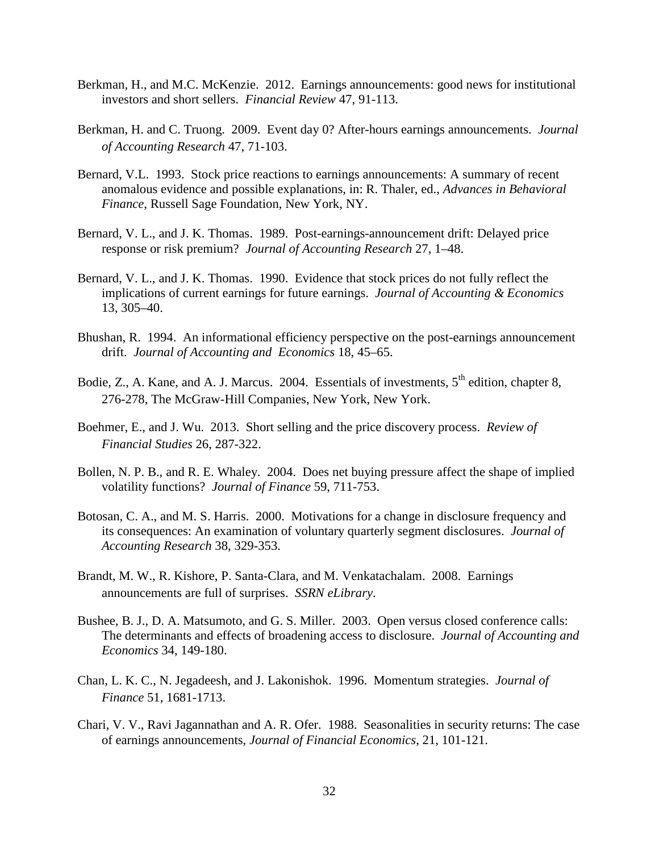- Berkman, H., and M.C. McKenzie. 2012. Earnings announcements: good news for institutional investors and short sellers. *Financial Review* 47, 91-113.
- Berkman, H. and C. Truong. 2009. Event day 0? After-hours earnings announcements. *Journal of Accounting Research* 47, 71-103.
- Bernard, V.L. 1993. Stock price reactions to earnings announcements: A summary of recent anomalous evidence and possible explanations, in: R. Thaler, ed., *Advances in Behavioral Finance*, Russell Sage Foundation, New York, NY.
- Bernard, V. L., and J. K. Thomas. 1989. Post-earnings-announcement drift: Delayed price response or risk premium? *Journal of Accounting Research* 27, 1–48.
- Bernard, V. L., and J. K. Thomas. 1990. Evidence that stock prices do not fully reflect the implications of current earnings for future earnings. *Journal of Accounting & Economics*  13, 305–40.
- Bhushan, R. 1994. An informational efficiency perspective on the post-earnings announcement drift. *Journal of Accounting and Economics* 18, 45–65.
- Bodie, Z., A. Kane, and A. J. Marcus. 2004. Essentials of investments,  $5<sup>th</sup>$  edition, chapter 8, 276-278, The McGraw-Hill Companies, New York, New York.
- Boehmer, E., and J. Wu. 2013. Short selling and the price discovery process. *Review of Financial Studies* 26, 287-322.
- Bollen, N. P. B., and R. E. Whaley. 2004. Does net buying pressure affect the shape of implied volatility functions? *Journal of Finance* 59, 711-753.
- Botosan, C. A., and M. S. Harris. 2000. Motivations for a change in disclosure frequency and its consequences: An examination of voluntary quarterly segment disclosures. *Journal of Accounting Research* 38, 329-353.
- Brandt, M. W., R. Kishore, P. Santa-Clara, and M. Venkatachalam. 2008. Earnings announcements are full of surprises. *SSRN eLibrary*.
- Bushee, B. J., D. A. Matsumoto, and G. S. Miller. 2003. Open versus closed conference calls: The determinants and effects of broadening access to disclosure. *Journal of Accounting and Economics* 34, 149-180.
- Chan, L. K. C., N. Jegadeesh, and J. Lakonishok. 1996. Momentum strategies. *Journal of Finance* 51, 1681-1713.
- Chari, V. V., Ravi Jagannathan and A. R. Ofer. 1988. Seasonalities in security returns: The case of earnings announcements, *Journal of Financial Economics*, 21, 101-121.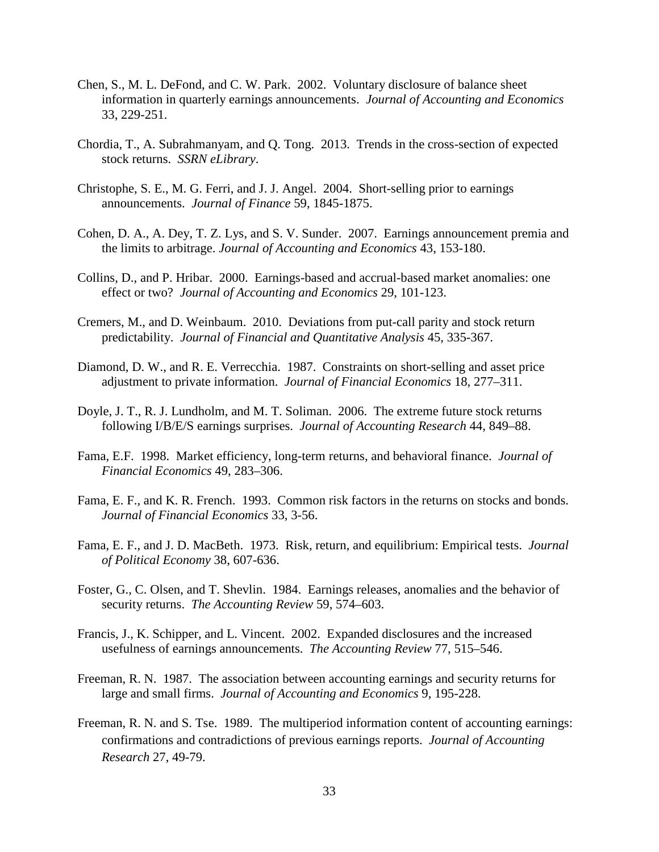- Chen, S., M. L. DeFond, and C. W. Park. 2002. Voluntary disclosure of balance sheet information in quarterly earnings announcements. *Journal of Accounting and Economics*  33, 229-251.
- Chordia, T., A. Subrahmanyam, and Q. Tong. 2013. Trends in the cross-section of expected stock returns. *SSRN eLibrary*.
- Christophe, S. E., M. G. Ferri, and J. J. Angel. 2004. Short-selling prior to earnings announcements. *Journal of Finance* 59, 1845-1875.
- Cohen, D. A., A. Dey, T. Z. Lys, and S. V. Sunder. 2007. Earnings announcement premia and the limits to arbitrage. *Journal of Accounting and Economics* 43, 153-180.
- Collins, D., and P. Hribar. 2000. Earnings-based and accrual-based market anomalies: one effect or two? *Journal of Accounting and Economics* 29, 101-123.
- Cremers, M., and D. Weinbaum. 2010. Deviations from put-call parity and stock return predictability. *Journal of Financial and Quantitative Analysis* 45, 335-367.
- Diamond, D. W., and R. E. Verrecchia. 1987. Constraints on short-selling and asset price adjustment to private information. *Journal of Financial Economics* 18, 277–311.
- Doyle, J. T., R. J. Lundholm, and M. T. Soliman. 2006. The extreme future stock returns following I/B/E/S earnings surprises. *Journal of Accounting Research* 44, 849–88.
- Fama, E.F. 1998. Market efficiency, long-term returns, and behavioral finance. *Journal of Financial Economics* 49, 283–306.
- Fama, E. F., and K. R. French. 1993. Common risk factors in the returns on stocks and bonds. *Journal of Financial Economics* 33, 3-56.
- Fama, E. F., and J. D. MacBeth. 1973. Risk, return, and equilibrium: Empirical tests. *Journal of Political Economy* 38, 607-636.
- Foster, G., C. Olsen, and T. Shevlin. 1984. Earnings releases, anomalies and the behavior of security returns. *The Accounting Review* 59, 574–603.
- Francis, J., K. Schipper, and L. Vincent. 2002. Expanded disclosures and the increased usefulness of earnings announcements. *The Accounting Review* 77, 515–546.
- Freeman, R. N. 1987. The association between accounting earnings and security returns for large and small firms. *Journal of Accounting and Economics* 9, 195-228.
- Freeman, R. N. and S. Tse. 1989. The multiperiod information content of accounting earnings: confirmations and contradictions of previous earnings reports. *Journal of Accounting Research* 27, 49-79.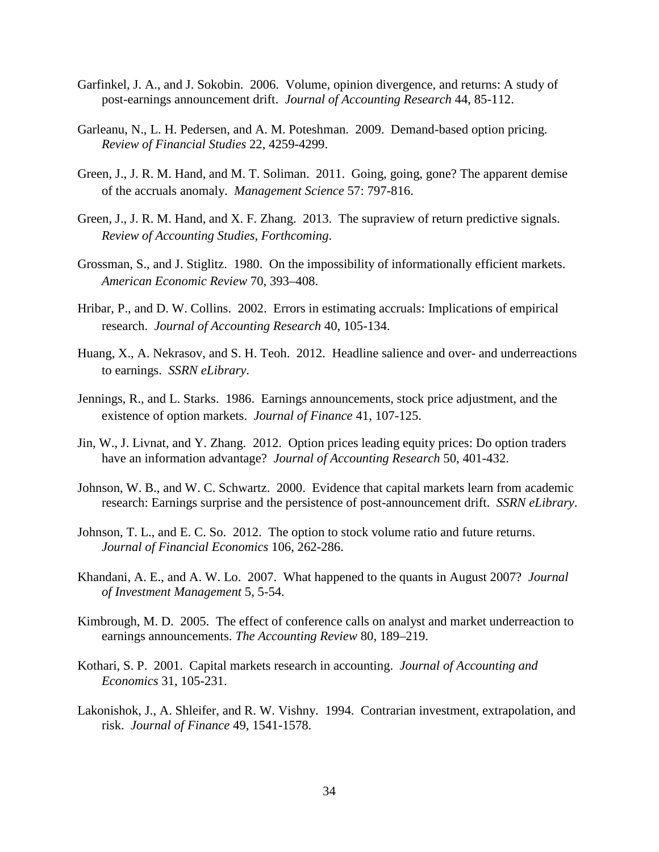- Garfinkel, J. A., and J. Sokobin. 2006. Volume, opinion divergence, and returns: A study of post-earnings announcement drift. *Journal of Accounting Research* 44, 85-112.
- Garleanu, N., L. H. Pedersen, and A. M. Poteshman. 2009. Demand-based option pricing. *Review of Financial Studies* 22, 4259-4299.
- Green, J., J. R. M. Hand, and M. T. Soliman. 2011. Going, going, gone? The apparent demise of the accruals anomaly. *Management Science* 57: 797-816.
- Green, J., J. R. M. Hand, and X. F. Zhang. 2013. The supraview of return predictive signals. *Review of Accounting Studies*, *Forthcoming*.
- Grossman, S., and J. Stiglitz. 1980. On the impossibility of informationally efficient markets. *American Economic Review* 70, 393–408.
- Hribar, P., and D. W. Collins. 2002. Errors in estimating accruals: Implications of empirical research. *Journal of Accounting Research* 40, 105-134.
- Huang, X., A. Nekrasov, and S. H. Teoh. 2012. Headline salience and over- and underreactions to earnings. *SSRN eLibrary*.
- Jennings, R., and L. Starks. 1986. Earnings announcements, stock price adjustment, and the existence of option markets. *Journal of Finance* 41, 107-125.
- Jin, W., J. Livnat, and Y. Zhang. 2012. Option prices leading equity prices: Do option traders have an information advantage? *Journal of Accounting Research* 50, 401-432.
- Johnson, W. B., and W. C. Schwartz. 2000. Evidence that capital markets learn from academic research: Earnings surprise and the persistence of post-announcement drift. *SSRN eLibrary*.
- Johnson, T. L., and E. C. So. 2012. The option to stock volume ratio and future returns. *Journal of Financial Economics* 106, 262-286.
- Khandani, A. E., and A. W. Lo. 2007. What happened to the quants in August 2007? *Journal of Investment Management* 5, 5-54.
- Kimbrough, M. D. 2005. The effect of conference calls on analyst and market underreaction to earnings announcements. *The Accounting Review* 80, 189–219.
- Kothari, S. P. 2001. Capital markets research in accounting. *Journal of Accounting and Economics* 31, 105-231.
- Lakonishok, J., A. Shleifer, and R. W. Vishny. 1994. Contrarian investment, extrapolation, and risk. *Journal of Finance* 49, 1541-1578.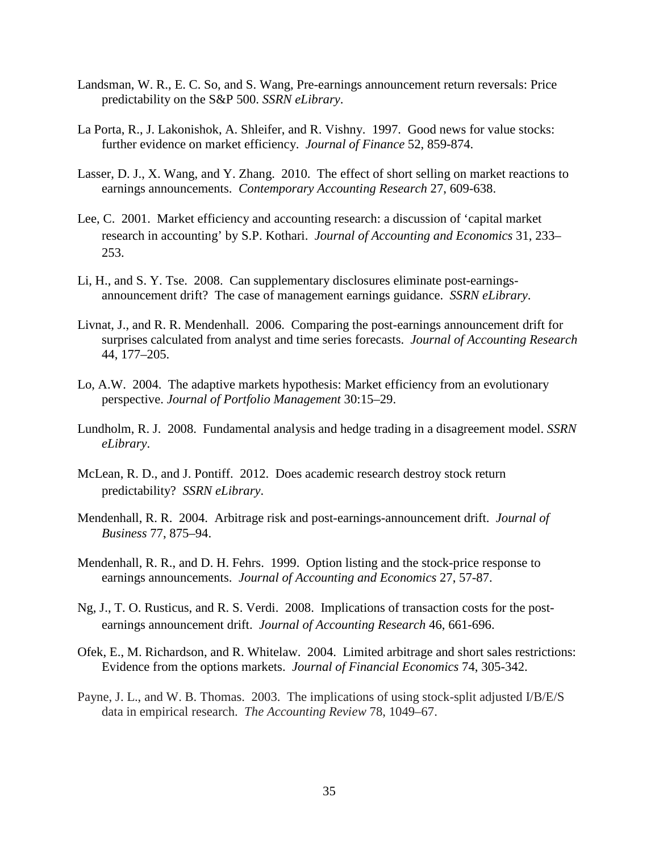- Landsman, W. R., E. C. So, and S. Wang, Pre-earnings announcement return reversals: Price predictability on the S&P 500. *SSRN eLibrary*.
- La Porta, R., J. Lakonishok, A. Shleifer, and R. Vishny. 1997. Good news for value stocks: further evidence on market efficiency. *Journal of Finance* 52, 859-874.
- Lasser, D. J., X. Wang, and Y. Zhang. 2010. The effect of short selling on market reactions to earnings announcements. *Contemporary Accounting Research* 27, 609-638.
- Lee, C. 2001. Market efficiency and accounting research: a discussion of 'capital market research in accounting' by S.P. Kothari. *Journal of Accounting and Economics* 31, 233– 253.
- Li, H., and S. Y. Tse. 2008. Can supplementary disclosures eliminate post-earningsannouncement drift? The case of management earnings guidance. *SSRN eLibrary*.
- Livnat, J., and R. R. Mendenhall. 2006. Comparing the post-earnings announcement drift for surprises calculated from analyst and time series forecasts. *Journal of Accounting Research* 44, 177–205.
- Lo, A.W. 2004. The adaptive markets hypothesis: Market efficiency from an evolutionary perspective. *Journal of Portfolio Management* 30:15–29.
- Lundholm, R. J. 2008. Fundamental analysis and hedge trading in a disagreement model. *SSRN eLibrary*.
- McLean, R. D., and J. Pontiff. 2012. Does academic research destroy stock return predictability? *SSRN eLibrary*.
- Mendenhall, R. R. 2004. Arbitrage risk and post-earnings-announcement drift. *Journal of Business* 77, 875–94.
- Mendenhall, R. R., and D. H. Fehrs. 1999. Option listing and the stock-price response to earnings announcements. *Journal of Accounting and Economics* 27, 57-87.
- Ng, J., T. O. Rusticus, and R. S. Verdi. 2008. Implications of transaction costs for the postearnings announcement drift. *Journal of Accounting Research* 46, 661-696.
- Ofek, E., M. Richardson, and R. Whitelaw. 2004. Limited arbitrage and short sales restrictions: Evidence from the options markets. *Journal of Financial Economics* 74, 305-342.
- Payne, J. L., and W. B. Thomas. 2003. The implications of using stock-split adjusted I/B/E/S data in empirical research. *The Accounting Review* 78, 1049–67.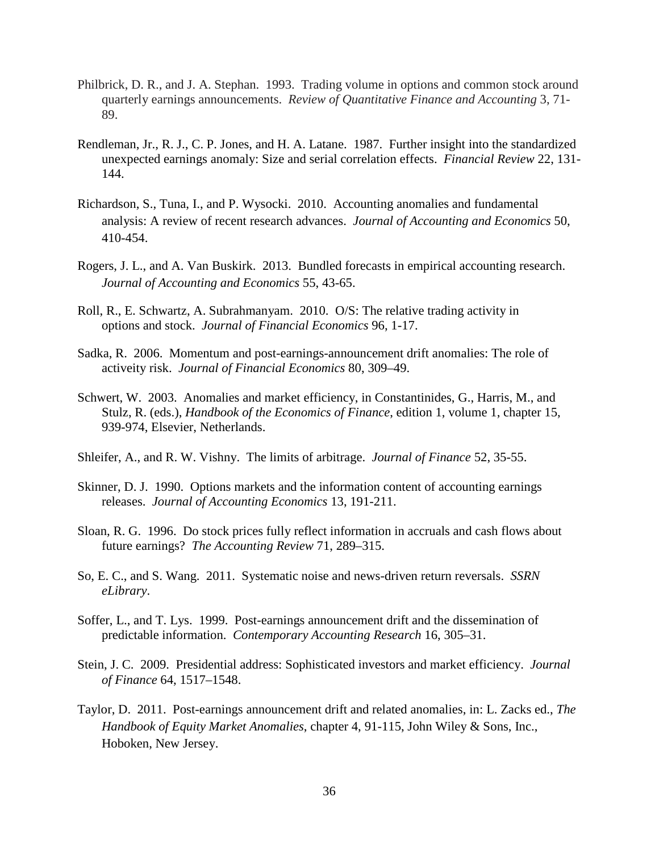- Philbrick, D. R., and J. A. Stephan. 1993. Trading volume in options and common stock around quarterly earnings announcements. *Review of Quantitative Finance and Accounting* 3, 71- 89.
- Rendleman, Jr., R. J., C. P. Jones, and H. A. Latane. 1987. Further insight into the standardized unexpected earnings anomaly: Size and serial correlation effects. *Financial Review* 22, 131- 144.
- Richardson, S., Tuna, I., and P. Wysocki. 2010. Accounting anomalies and fundamental analysis: A review of recent research advances. *Journal of Accounting and Economics* 50, 410-454.
- Rogers, J. L., and A. Van Buskirk. 2013. Bundled forecasts in empirical accounting research. *Journal of Accounting and Economics* 55, 43-65.
- Roll, R., E. Schwartz, A. Subrahmanyam. 2010. O/S: The relative trading activity in options and stock. *Journal of Financial Economics* 96, 1-17.
- Sadka, R. 2006. Momentum and post-earnings-announcement drift anomalies: The role of activeity risk. *Journal of Financial Economics* 80, 309–49.
- Schwert, W. 2003. Anomalies and market efficiency, in Constantinides, G., Harris, M., and Stulz, R. (eds.), *Handbook of the Economics of Finance*, edition 1, volume 1, chapter 15, 939-974, Elsevier, Netherlands.
- Shleifer, A., and R. W. Vishny. The limits of arbitrage. *Journal of Finance* 52, 35-55.
- Skinner, D. J. 1990. Options markets and the information content of accounting earnings releases. *Journal of Accounting Economics* 13, 191-211.
- Sloan, R. G. 1996. Do stock prices fully reflect information in accruals and cash flows about future earnings? *The Accounting Review* 71, 289–315.
- So, E. C., and S. Wang. 2011. Systematic noise and news-driven return reversals. *SSRN eLibrary*.
- Soffer, L., and T. Lys. 1999. Post-earnings announcement drift and the dissemination of predictable information. *Contemporary Accounting Research* 16, 305–31.
- Stein, J. C. 2009. Presidential address: Sophisticated investors and market efficiency. *Journal of Finance* 64, 1517–1548.
- Taylor, D. 2011. Post-earnings announcement drift and related anomalies, in: L. Zacks ed., *The Handbook of Equity Market Anomalies*, chapter 4, 91-115, John Wiley & Sons, Inc., Hoboken, New Jersey.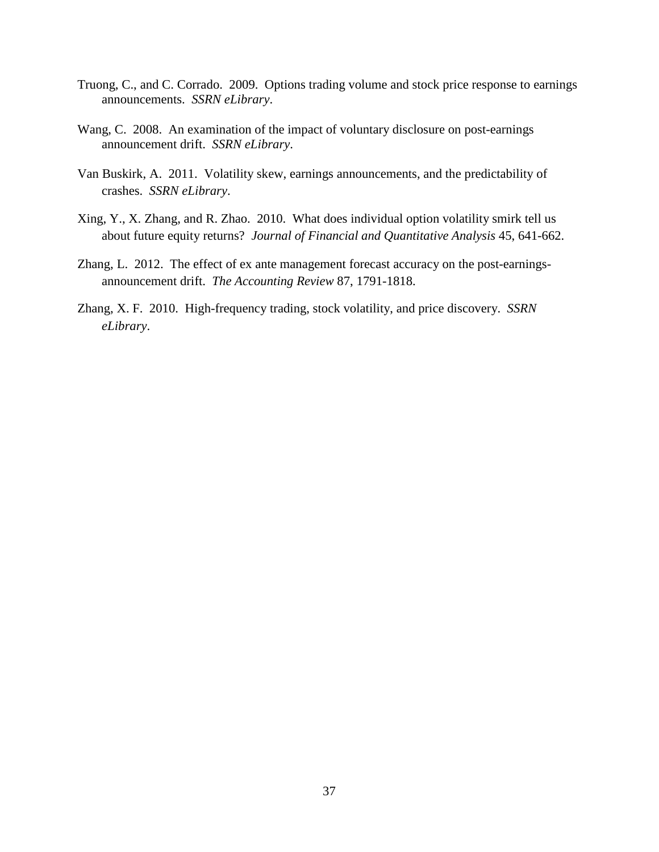- Truong, C., and C. Corrado. 2009. Options trading volume and stock price response to earnings announcements. *SSRN eLibrary*.
- Wang, C. 2008. An examination of the impact of voluntary disclosure on post-earnings announcement drift. *SSRN eLibrary*.
- Van Buskirk, A. 2011. Volatility skew, earnings announcements, and the predictability of crashes. *SSRN eLibrary*.
- Xing, Y., X. Zhang, and R. Zhao. 2010. What does individual option volatility smirk tell us about future equity returns? *Journal of Financial and Quantitative Analysis* 45, 641-662.
- Zhang, L. 2012. The effect of ex ante management forecast accuracy on the post-earningsannouncement drift. *The Accounting Review* 87, 1791-1818.
- Zhang, X. F. 2010. High-frequency trading, stock volatility, and price discovery. *SSRN eLibrary*.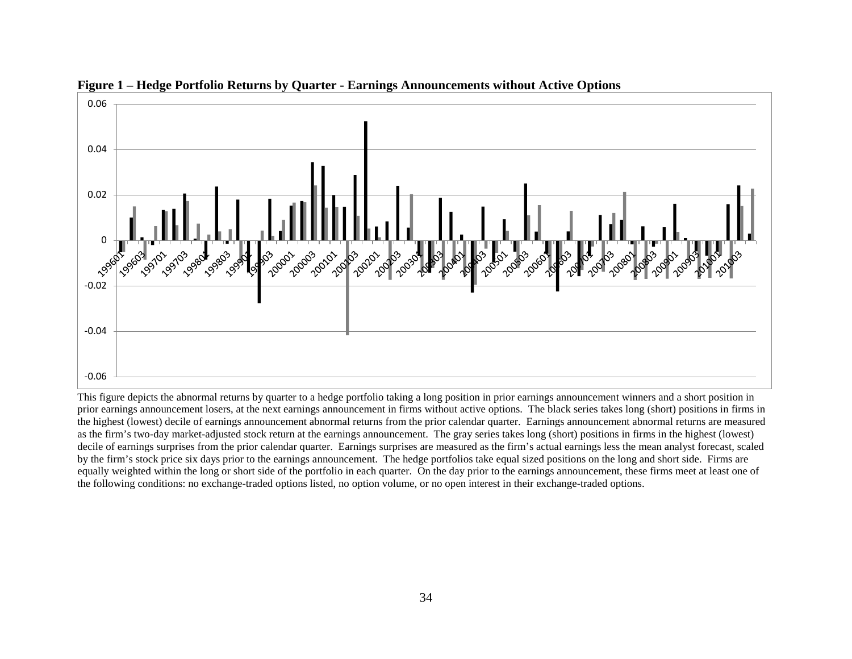

**Figure 1 – Hedge Portfolio Returns by Quarter - Earnings Announcements without Active Options**

This figure depicts the abnormal returns by quarter to a hedge portfolio taking a long position in prior earnings announcement winners and a short position in prior earnings announcement losers, at the next earnings announcement in firms without active options. The black series takes long (short) positions in firms in the highest (lowest) decile of earnings announcement abnormal returns from the prior calendar quarter. Earnings announcement abnormal returns are measured as the firm's two-day market-adjusted stock return at the earnings announcement. The gray series takes long (short) positions in firms in the highest (lowest) decile of earnings surprises from the prior calendar quarter. Earnings surprises are measured as the firm's actual earnings less the mean analyst forecast, scaled by the firm's stock price six days prior to the earnings announcement. The hedge portfolios take equal sized positions on the long and short side. Firms are equally weighted within the long or short side of the portfolio in each quarter. On the day prior to the earnings announcement, these firms meet at least one of the following conditions: no exchange-traded options listed, no option volume, or no open interest in their exchange-traded options.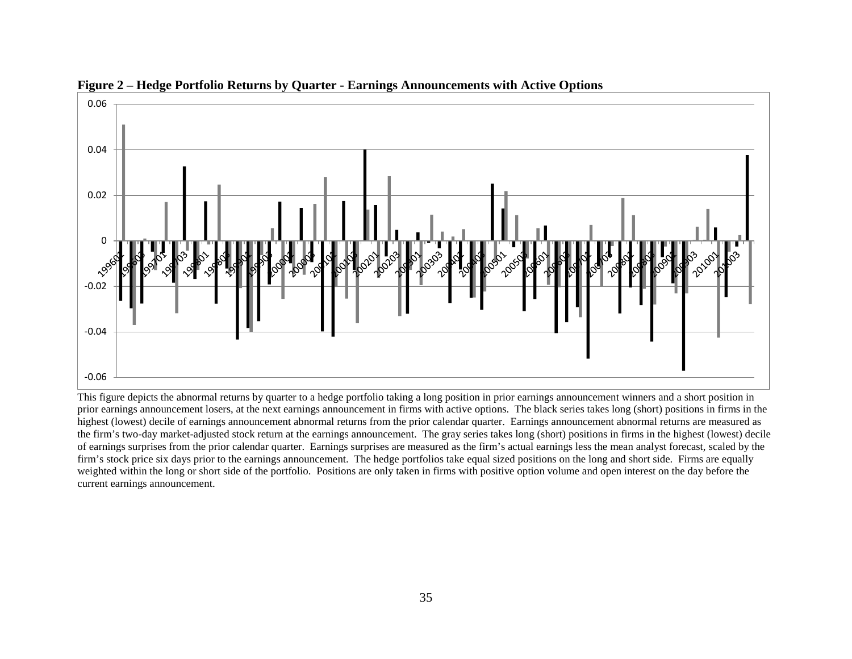

**Figure 2 – Hedge Portfolio Returns by Quarter - Earnings Announcements with Active Options** 

This figure depicts the abnormal returns by quarter to a hedge portfolio taking a long position in prior earnings announcement winners and a short position in prior earnings announcement losers, at the next earnings announcement in firms with active options. The black series takes long (short) positions in firms in the highest (lowest) decile of earnings announcement abnormal returns from the prior calendar quarter. Earnings announcement abnormal returns are measured as the firm's two-day market-adjusted stock return at the earnings announcement. The gray series takes long (short) positions in firms in the highest (lowest) decile of earnings surprises from the prior calendar quarter. Earnings surprises are measured as the firm's actual earnings less the mean analyst forecast, scaled by the firm's stock price six days prior to the earnings announcement. The hedge portfolios take equal sized positions on the long and short side. Firms are equally weighted within the long or short side of the portfolio. Positions are only taken in firms with positive option volume and open interest on the day before the current earnings announcement.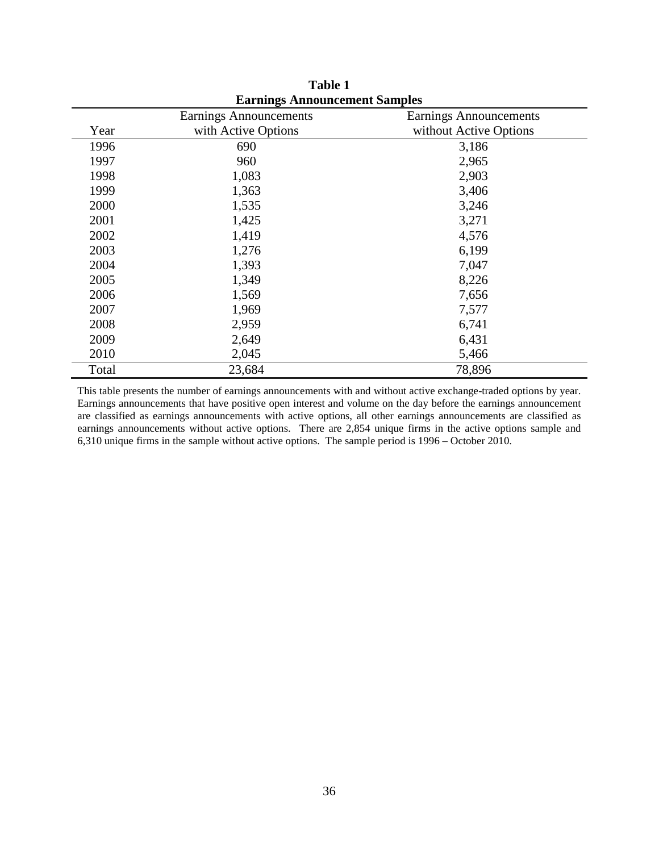|       | <b>Earnings Announcement Samples</b> |                        |
|-------|--------------------------------------|------------------------|
|       | Earnings Announcements               | Earnings Announcements |
| Year  | with Active Options                  | without Active Options |
| 1996  | 690                                  | 3,186                  |
| 1997  | 960                                  | 2,965                  |
| 1998  | 1,083                                | 2,903                  |
| 1999  | 1,363                                | 3,406                  |
| 2000  | 1,535                                | 3,246                  |
| 2001  | 1,425                                | 3,271                  |
| 2002  | 1,419                                | 4,576                  |
| 2003  | 1,276                                | 6,199                  |
| 2004  | 1,393                                | 7,047                  |
| 2005  | 1,349                                | 8,226                  |
| 2006  | 1,569                                | 7,656                  |
| 2007  | 1,969                                | 7,577                  |
| 2008  | 2,959                                | 6,741                  |
| 2009  | 2,649                                | 6,431                  |
| 2010  | 2,045                                | 5,466                  |
| Total | 23,684                               | 78,896                 |

**Table 1 Earnings Announcement Samples**

This table presents the number of earnings announcements with and without active exchange-traded options by year. Earnings announcements that have positive open interest and volume on the day before the earnings announcement are classified as earnings announcements with active options, all other earnings announcements are classified as earnings announcements without active options. There are 2,854 unique firms in the active options sample and 6,310 unique firms in the sample without active options. The sample period is 1996 – October 2010.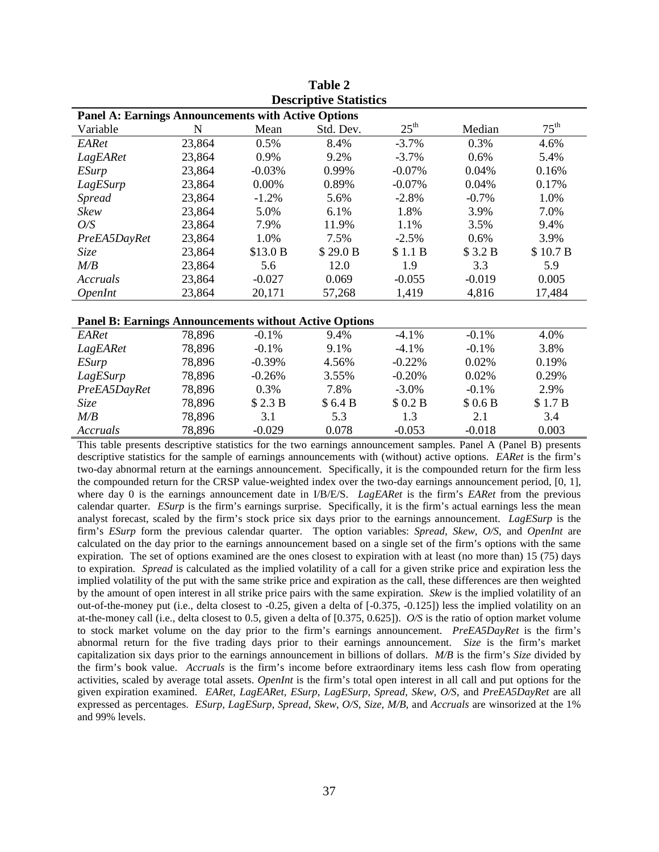|                                                               |             |          | Descriptive Statistics |                  |          |                  |
|---------------------------------------------------------------|-------------|----------|------------------------|------------------|----------|------------------|
| <b>Panel A: Earnings Announcements with Active Options</b>    |             |          |                        |                  |          |                  |
| Variable                                                      | $\mathbf N$ | Mean     | Std. Dev.              | $25^{\text{th}}$ | Median   | $75^{\text{th}}$ |
| EARet                                                         | 23,864      | 0.5%     | 8.4%                   | $-3.7%$          | 0.3%     | 4.6%             |
| LagEARet                                                      | 23,864      | 0.9%     | 9.2%                   | $-3.7%$          | 0.6%     | 5.4%             |
| <b>ESurp</b>                                                  | 23,864      | $-0.03%$ | 0.99%                  | $-0.07\%$        | 0.04%    | 0.16%            |
| LagESurp                                                      | 23,864      | 0.00%    | 0.89%                  | $-0.07\%$        | 0.04%    | 0.17%            |
| <b>Spread</b>                                                 | 23,864      | $-1.2%$  | 5.6%                   | $-2.8%$          | $-0.7%$  | 1.0%             |
| Skew                                                          | 23,864      | 5.0%     | 6.1%                   | 1.8%             | 3.9%     | 7.0%             |
| O/S                                                           | 23,864      | 7.9%     | 11.9%                  | 1.1%             | 3.5%     | 9.4%             |
| PreEA5DayRet                                                  | 23,864      | 1.0%     | 7.5%                   | $-2.5%$          | 0.6%     | 3.9%             |
| Size                                                          | 23,864      | \$13.0 B | \$29.0 B               | \$1.1 B          | \$3.2 B  | \$10.7 B         |
| $M\!/\!B$                                                     | 23,864      | 5.6      | 12.0                   | 1.9              | 3.3      | 5.9              |
| Accruals                                                      | 23,864      | $-0.027$ | 0.069                  | $-0.055$         | $-0.019$ | 0.005            |
| <i><b>OpenInt</b></i>                                         | 23,864      | 20,171   | 57,268                 | 1,419            | 4,816    | 17,484           |
|                                                               |             |          |                        |                  |          |                  |
| <b>Panel B: Earnings Announcements without Active Options</b> |             |          |                        |                  |          |                  |
| EARet                                                         | 78,896      | $-0.1%$  | 9.4%                   | $-4.1%$          | $-0.1%$  | 4.0%             |
| LagEARet                                                      | 78,896      | $-0.1%$  | 9.1%                   | $-4.1%$          | $-0.1%$  | 3.8%             |
| <i>ESurp</i>                                                  | 78,896      | $-0.39%$ | 4.56%                  | $-0.22%$         | 0.02%    | 0.19%            |
| LagESurp                                                      | 78,896      | $-0.26%$ | 3.55%                  | $-0.20%$         | 0.02%    | 0.29%            |
| PreEA5DayRet                                                  | 78,896      | 0.3%     | 7.8%                   | $-3.0\%$         | $-0.1%$  | 2.9%             |
| Size                                                          | 78,896      | \$2.3 B  | \$6.4B                 | \$0.2 B          | \$0.6B   | \$1.7B           |
| M/B                                                           | 78,896      | 3.1      | 5.3                    | 1.3              | 2.1      | 3.4              |

**Table 2 Descriptive Statistics**

*Accruals* 78,896 -0.029 0.078 -0.053 -0.018 0.003 This table presents descriptive statistics for the two earnings announcement samples. Panel A (Panel B) presents descriptive statistics for the sample of earnings announcements with (without) active options. *EARet* is the firm's two-day abnormal return at the earnings announcement. Specifically, it is the compounded return for the firm less the compounded return for the CRSP value-weighted index over the two-day earnings announcement period, [0, 1], where day 0 is the earnings announcement date in I/B/E/S. *LagEARet* is the firm's *EARet* from the previous calendar quarter. *ESurp* is the firm's earnings surprise. Specifically, it is the firm's actual earnings less the mean analyst forecast, scaled by the firm's stock price six days prior to the earnings announcement. *LagESurp* is the firm's *ESurp* form the previous calendar quarter. The option variables: *Spread*, *Skew*, *O/S*, and *OpenInt* are calculated on the day prior to the earnings announcement based on a single set of the firm's options with the same expiration. The set of options examined are the ones closest to expiration with at least (no more than) 15 (75) days to expiration. *Spread* is calculated as the implied volatility of a call for a given strike price and expiration less the implied volatility of the put with the same strike price and expiration as the call, these differences are then weighted by the amount of open interest in all strike price pairs with the same expiration. *Skew* is the implied volatility of an out-of-the-money put (i.e., delta closest to -0.25, given a delta of [-0.375, -0.125]) less the implied volatility on an at-the-money call (i.e., delta closest to 0.5, given a delta of [0.375, 0.625]). *O/S* is the ratio of option market volume to stock market volume on the day prior to the firm's earnings announcement. *PreEA5DayRet* is the firm's abnormal return for the five trading days prior to their earnings announcement. *Size* is the firm's market capitalization six days prior to the earnings announcement in billions of dollars. *M/B* is the firm's *Size* divided by the firm's book value. *Accruals* is the firm's income before extraordinary items less cash flow from operating activities, scaled by average total assets. *OpenInt* is the firm's total open interest in all call and put options for the given expiration examined. *EARet*, *LagEARet*, *ESurp*, *LagESurp*, *Spread*, *Skew*, *O/S*, and *PreEA5DayRet* are all expressed as percentages. *ESurp*, *LagESurp*, *Spread*, *Skew*, *O/S*, *Size*, *M/B*, and *Accruals* are winsorized at the 1% and 99% levels.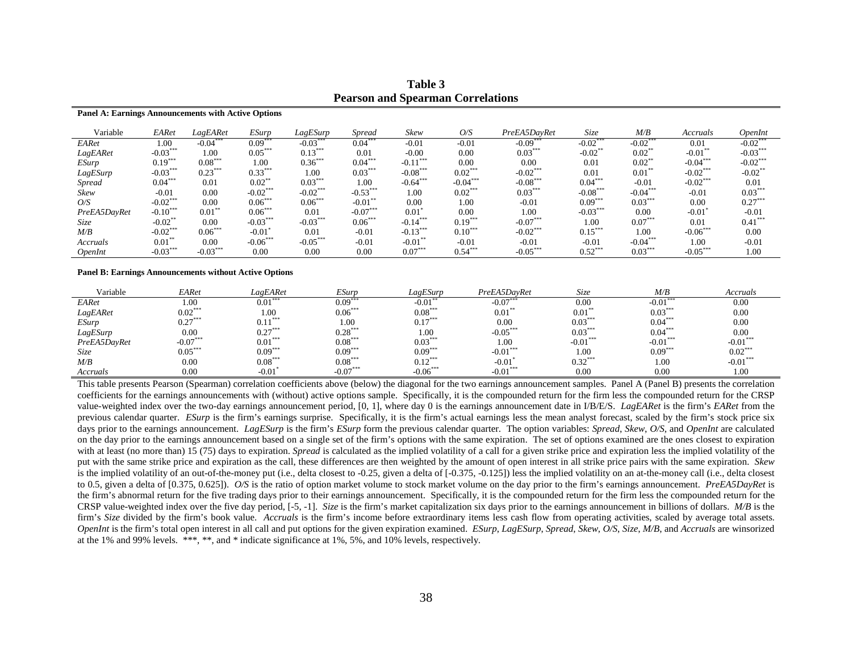| Variable      | EARet      | LagEARet   | ESurp      | LagESurp   | Spread     | Skew       | O/S        | PreEA5DayRet | Size       | M/B        | Accruals   | <i><b>OpenInt</b></i> |
|---------------|------------|------------|------------|------------|------------|------------|------------|--------------|------------|------------|------------|-----------------------|
| EARet         | 1.00       | $-0.04***$ | $0.09***$  | $-0.03***$ | $0.04***$  | $-0.01$    | $-0.01$    | $-0.09***$   | $-0.02***$ | $-0.02***$ | 0.01       | $-0.02***$            |
| LagEARet      | $-0.03***$ | 1.00       | $0.05***$  | $0.13***$  | 0.01       | $-0.00$    | 0.00       | $0.03***$    | $-0.02**$  | $0.02***$  | $-0.01***$ | $-0.03***$            |
| ESurp         | $0.19***$  | $0.08***$  | 1.00       | $0.36***$  | $0.04***$  | $-0.11***$ | 0.00       | 0.00         | 0.01       | $0.02**$   | $-0.04***$ | $-0.02***$            |
| LagESurp      | $-0.03***$ | $0.23***$  | $0.33***$  | 1.00       | $0.03***$  | $-0.08***$ | $0.02***$  | $-0.02***$   | 0.01       | $0.01***$  | $-0.02***$ | $-0.02$ <sup>*</sup>  |
| <i>Spread</i> | $0.04***$  | 0.01       | $0.02***$  | $0.03***$  | 1.00       | $-0.64***$ | $-0.04***$ | $-0.08***$   | $0.04***$  | $-0.01$    | $-0.02***$ | 0.01                  |
| Skew          | $-0.01$    | 0.00       | $-0.02***$ | $-0.02***$ | $-0.53***$ | 1.00       | $0.02***$  | $0.03***$    | $-0.08***$ | $-0.04***$ | $-0.01$    | $0.03***$             |
| O/S           | $-0.02***$ | 0.00       | $0.06***$  | $0.06***$  | $-0.01**$  | 0.00       | 1.00       | $-0.01$      | $0.09***$  | $0.03***$  | 0.00       | $0.27***$             |
| PreEA5DayRet  | $-0.10***$ | $0.01**$   | $0.06***$  | 0.01       | $-0.07***$ | 0.01       | 0.00       | 1.00         | $-0.03***$ | 0.00       | $-0.01$    | $-0.01$               |
| Size          | $-0.02**$  | 0.00       | $-0.03***$ | $-0.03***$ | $0.06***$  | $-0.14***$ | $0.19***$  | $-0.07***$   | 1.00       | $0.07***$  | 0.01       | $0.41***$             |
| M/B           | $-0.02***$ | $0.06***$  | $-0.01$    | 0.01       | $-0.01$    | $-0.13***$ | $0.10***$  | $-0.02$ ***  | $0.15***$  | 1.00       | $-0.06***$ | 0.00                  |
| Accruals      | $0.01**$   | 0.00       | $-0.06***$ | $-0.05***$ | $-0.01$    | $-0.01***$ | $-0.01$    | $-0.01$      | $-0.01$    | $-0.04***$ | 1.00       | $-0.01$               |
| OpenInt       | $-0.03***$ | $-0.03***$ | 0.00       | 0.00       | 0.00       | $0.07***$  | $0.54***$  | $-0.05***$   | $0.52***$  | $0.03***$  | $-0.05***$ | 1.00                  |

**Table 3 Pearson and Spearman Correlations**

#### **Panel B: Earnings Announcements without Active Options**

**Panel A: Earnings Announcements with Active Options**

| Variable     | EARet      | LagEARet             | <i>ESurp</i> | $LagES$ urp | PreEA5DavRet | Size       | M/B        | Accruals   |
|--------------|------------|----------------------|--------------|-------------|--------------|------------|------------|------------|
| EARet        | 1.00       | $0.01***$            | $0.09***$    | $-0.01$     | $-0.07***$   | 0.00       | $-0.01***$ | 0.00       |
| LagEARet     | $0.02***$  | 1.00                 | $0.06***$    | $0.08***$   | $0.01**$     | $0.01***$  | $0.03***$  | 0.00       |
| ESurp        | $0.27***$  | $0.11***$            | 1.00         | $0.17***$   | 0.00         | $0.03***$  | $0.04***$  | 0.00       |
| $LagES$ urp  | 0.00       | $0.27***$            | $0.28***$    | 1.00        | $-0.05***$   | $0.03***$  | $0.04***$  | 0.00       |
| PreEA5DayRet | $-0.07***$ | $0.01***$            | $0.08***$    | $0.03***$   | 1.00         | $-0.01***$ | $-0.01***$ | $-0.01***$ |
| <i>Size</i>  | $0.05***$  | ***<br>0.09          | $0.09***$    | $0.09***$   | $-0.01***$   | 1.00       | $0.09***$  | $0.02***$  |
| M/B          | 0.00       | $0.08***$            | $0.08***$    | $0.12***$   | $-0.01$      | $0.32***$  | 1.00       | $-0.01***$ |
| Accruals     | 0.00       | $-0.01$ <sup>*</sup> | $-0.07***$   | $-0.06***$  | $-0.01***$   | 0.00       | 0.00       | 1.00       |

This table presents Pearson (Spearman) correlation coefficients above (below) the diagonal for the two earnings announcement samples. Panel A (Panel B) presents the correlation coefficients for the earnings announcements with (without) active options sample. Specifically, it is the compounded return for the firm less the compounded return for the CRSP value-weighted index over the two-day earnings announcement period, [0, 1], where day 0 is the earnings announcement date in I/B/E/S. *LagEARet* is the firm's *EARet* from the previous calendar quarter. *ESurp* is the firm's earnings surprise. Specifically, it is the firm's actual earnings less the mean analyst forecast, scaled by the firm's stock price six days prior to the earnings announcement. *LagESurp* is the firm's *ESurp* form the previous calendar quarter. The option variables: *Spread*, *Skew*, *O/S*, and *OpenInt* are calculated on the day prior to the earnings announcement based on a single set of the firm's options with the same expiration. The set of options examined are the ones closest to expiration with at least (no more than) 15 (75) days to expiration. *Spread* is calculated as the implied volatility of a call for a given strike price and expiration less the implied volatility of the put with the same strike price and expiration as the call, these differences are then weighted by the amount of open interest in all strike price pairs with the same expiration. *Skew* is the implied volatility of an out-of-the-money put (i.e., delta closest to -0.25, given a delta of [-0.375, -0.125]) less the implied volatility on an at-the-money call (i.e., delta closest to 0.5, given a delta of [0.375, 0.625]). *O/S* is the ratio of option market volume to stock market volume on the day prior to the firm's earnings announcement. *PreEA5DayRet* is the firm's abnormal return for the five trading days prior to their earnings announcement. Specifically, it is the compounded return for the firm less the compounded return for the CRSP value-weighted index over the five day period, [-5, -1]. *Size* is the firm's market capitalization six days prior to the earnings announcement in billions of dollars. *M/B* is the firm's *Size* divided by the firm's book value. *Accruals* is the firm's income before extraordinary items less cash flow from operating activities, scaled by average total assets. OpenInt is the firm's total open interest in all call and put options for the given expiration examined. ESurp, LagESurp, Spread, Skew, O/S, Size, M/B, and Accruals are winsorized at the 1% and 99% levels. \*\*\*, \*\*, and \* indicate significance at 1%, 5%, and 10% levels, respectively.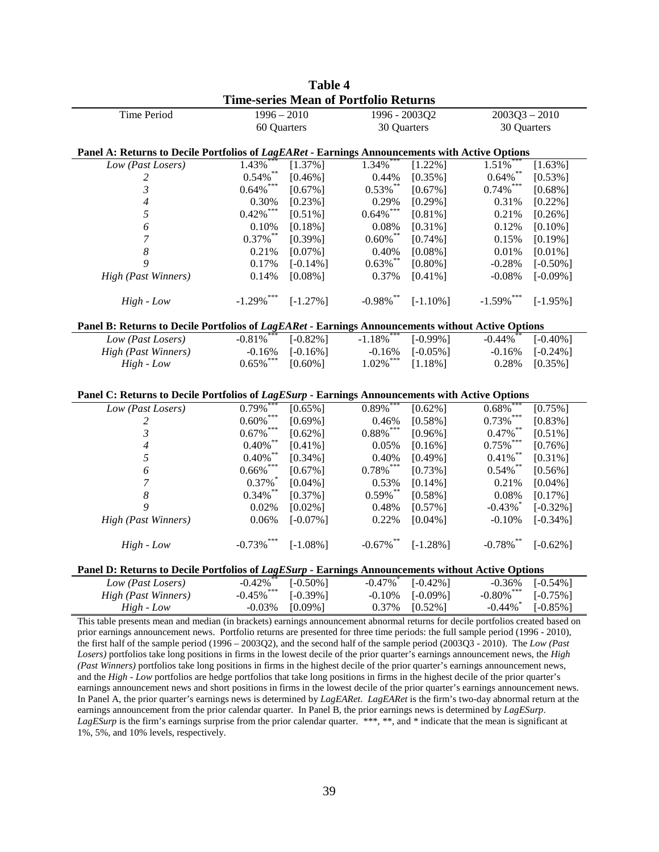|                                                                                                                                 |                                                                                      | <b>Table 4</b> |                                              |               |                        |                 |
|---------------------------------------------------------------------------------------------------------------------------------|--------------------------------------------------------------------------------------|----------------|----------------------------------------------|---------------|------------------------|-----------------|
|                                                                                                                                 |                                                                                      |                | <b>Time-series Mean of Portfolio Returns</b> |               |                        |                 |
| Time Period                                                                                                                     | $1996 - 2010$                                                                        |                |                                              | 1996 - 2003O2 |                        | $2003Q3 - 2010$ |
|                                                                                                                                 | 60 Quarters                                                                          |                | 30 Quarters                                  |               | 30 Quarters            |                 |
|                                                                                                                                 |                                                                                      |                |                                              |               |                        |                 |
| Panel A: Returns to Decile Portfolios of LagEARet - Earnings Announcements with Active Options                                  |                                                                                      |                |                                              |               |                        |                 |
| Low (Past Losers)                                                                                                               | 1.43%                                                                                | $[1.37\%]$     | 1.34%                                        | $[1.22\%]$    | 1.51%                  | $[1.63\%]$      |
| 2                                                                                                                               | $0.54\%$ **                                                                          | $[0.46\%]$     | 0.44%                                        | $[0.35\%]$    | $0.64\%$ **            | $[0.53\%]$      |
| $\mathfrak{Z}$                                                                                                                  | $0.64\%$ $^{***}$                                                                    | $[0.67\%]$     | $0.53\%$ **                                  | $[0.67\%]$    | $0.74\%$ ***           | $[0.68\%]$      |
| 4                                                                                                                               | 0.30%                                                                                | $[0.23\%]$     | 0.29%                                        | $[0.29\%]$    | 0.31%                  | $[0.22\%]$      |
| 5                                                                                                                               | $0.42\%$ ***                                                                         | $[0.51\%]$     | $0.64\%$ ***                                 | $[0.81\%]$    | 0.21%                  | $[0.26\%]$      |
| 6                                                                                                                               | 0.10%                                                                                | $[0.18\%]$     | 0.08%                                        | $[0.31\%]$    | 0.12%                  | $[0.10\%]$      |
| 7                                                                                                                               | $0.37\%$ **                                                                          | $[0.39\%]$     | $0.60\%$ **                                  | $[0.74\%]$    | 0.15%                  | $[0.19\%]$      |
| $\boldsymbol{8}$                                                                                                                | 0.21%                                                                                | $[0.07\%]$     | 0.40%                                        | $[0.08\%]$    | 0.01%                  | $[0.01\%]$      |
| 9                                                                                                                               | 0.17%                                                                                | $[-0.14\%]$    | $0.63\%$ **                                  | $[0.80\%]$    | $-0.28%$               | $[-0.50\%]$     |
| High (Past Winners)                                                                                                             | 0.14%                                                                                | $[0.08\%]$     | 0.37%                                        | $[0.41\%]$    | $-0.08%$               | $[-0.09\%]$     |
|                                                                                                                                 |                                                                                      |                |                                              |               |                        |                 |
| $High$ - $Low$                                                                                                                  | $-1.29\%$ ***                                                                        | $[-1.27\%]$    | $-0.98\%$ **                                 | $[-1.10\%]$   | $-1.59\%$ ***          | $[-1.95\%]$     |
| Panel B: Returns to Decile Portfolios of LagEARet - Earnings Announcements without Active Options                               |                                                                                      |                |                                              |               |                        |                 |
| Low (Past Losers)                                                                                                               | $-0.81%$                                                                             | $[-0.82\%]$    | $-1.18\%$                                    | $[-0.99\%]$   | $-0.44%$               | $[-0.40\%]$     |
| <b>High (Past Winners)</b>                                                                                                      | $-0.16%$                                                                             | $[-0.16\%]$    | $-0.16%$                                     | $[-0.05\%]$   | $-0.16%$               | $[-0.24\%]$     |
| $High$ - $Low$                                                                                                                  | $0.65\%$ ***                                                                         | $[0.60\%]$     | $1.02\%$ ***                                 | $[1.18\%]$    | 0.28%                  | $[0.35\%]$      |
|                                                                                                                                 |                                                                                      |                |                                              |               |                        |                 |
|                                                                                                                                 |                                                                                      |                |                                              |               |                        |                 |
| Panel C: Returns to Decile Portfolios of LagESurp - Earnings Announcements with Active Options                                  |                                                                                      |                |                                              |               |                        |                 |
| Low (Past Losers)                                                                                                               | 0.79%<br>$***$                                                                       | $[0.65\%]$     | $0.89\%$ ***                                 | $[0.62\%]$    | 0.68%                  | $[0.75\%]$      |
| 2                                                                                                                               | 0.60%<br>***                                                                         | $[0.69\%]$     | 0.46%                                        | $[0.58\%]$    | $0.73\%$ $^{***}$      | $[0.83\%]$      |
| $\mathfrak{z}$                                                                                                                  | 0.67%                                                                                | $[0.62\%]$     | $0.88\%$ $^{***}$                            | $[0.96\%]$    | $0.47\%$ **            | $[0.51\%]$      |
| $\overline{\mathcal{A}}$                                                                                                        | $0.40\%$ $^{**}$                                                                     | $[0.41\%]$     | 0.05%                                        | $[0.16\%]$    | $0.75\%$ $^{***}$      | $[0.76\%]$      |
| 5                                                                                                                               | $0.40\%$ $^{**}$                                                                     | $[0.34\%]$     | 0.40%                                        | $[0.49\%]$    | $0.41\%$ $^{**}$       | $[0.31\%]$      |
| 6                                                                                                                               | $0.66\%$ $\overset{***}{\phantom{}_{\phantom{}_{\phantom{}_{\phantom{}_{\sim}}}}}\;$ | $[0.67\%]$     | $0.78\%$ ***                                 | $[0.73\%]$    | $0.54\%$ $^{**}$       | $[0.56\%]$      |
| 7                                                                                                                               | $0.37\%$                                                                             | $[0.04\%]$     | 0.53%                                        | $[0.14\%]$    | 0.21%                  | $[0.04\%]$      |
| 8                                                                                                                               | $0.34\%$ **                                                                          | $[0.37\%]$     | $0.59\%$ **                                  | $[0.58\%]$    | 0.08%                  | $[0.17\%]$      |
| 9                                                                                                                               | 0.02%                                                                                | $[0.02\%]$     | 0.48%                                        | $[0.57\%]$    | $-0.43\%$              | $[-0.32\%]$     |
| High (Past Winners)                                                                                                             | 0.06%                                                                                | $[-0.07\%]$    | 0.22%                                        | $[0.04\%]$    | $-0.10%$               | $[-0.34\%]$     |
| $High$ - $Low$                                                                                                                  | $-0.73\%$ ***                                                                        | $[-1.08\%]$    | $-0.67\%$ **                                 | $[-1.28\%]$   | $-0.78\%$ **           | $[-0.62\%]$     |
| Panel D: Returns to Decile Portfolios of LagESurp - Earnings Announcements without Active Options                               |                                                                                      |                |                                              |               |                        |                 |
| Low (Past Losers)                                                                                                               | $-0.42%$                                                                             | $[-0.50\%]$    | $-0.47\%$                                    | $[-0.42\%]$   | $-0.36%$               | $[-0.54\%]$     |
| <b>High (Past Winners)</b>                                                                                                      | $-0.45\%$ ***                                                                        | $[-0.39\%]$    | $-0.10%$                                     | $[-0.09\%]$   | $-0.80\%$ ***          | $[-0.75\%]$     |
| $High$ - $Low$                                                                                                                  | $-0.03%$                                                                             | $[0.09\%]$     | 0.37%                                        | $[0.52\%]$    | $-0.44\%$ <sup>*</sup> | $[-0.85\%]$     |
| This table presents mean and median (in brackets) earnings announcement abnormal returns for decile portfolios created based on |                                                                                      |                |                                              |               |                        |                 |
| prior earnings announcement news. Portfolio returns are presented for three time periods: the full sample period (1996 - 2010), |                                                                                      |                |                                              |               |                        |                 |
| the first half of the sample period (1996 – 2003Q2), and the second half of the sample period (2003Q3 - 2010). The Low (Past    |                                                                                      |                |                                              |               |                        |                 |

*Losers)* portfolios take long positions in firms in the lowest decile of the prior quarter's earnings announcement news, the *High (Past Winners)* portfolios take long positions in firms in the highest decile of the prior quarter's earnings announcement news, and the *High - Low* portfolios are hedge portfolios that take long positions in firms in the highest decile of the prior quarter's earnings announcement news and short positions in firms in the lowest decile of the prior quarter's earnings announcement news. In Panel A, the prior quarter's earnings news is determined by *LagEARet*. *LagEARet* is the firm's two-day abnormal return at the earnings announcement from the prior calendar quarter. In Panel B, the prior earnings news is determined by *LagESurp*. *LagESurp* is the firm's earnings surprise from the prior calendar quarter. \*\*\*, \*\*, and \* indicate that the mean is significant at 1%, 5%, and 10% levels, respectively.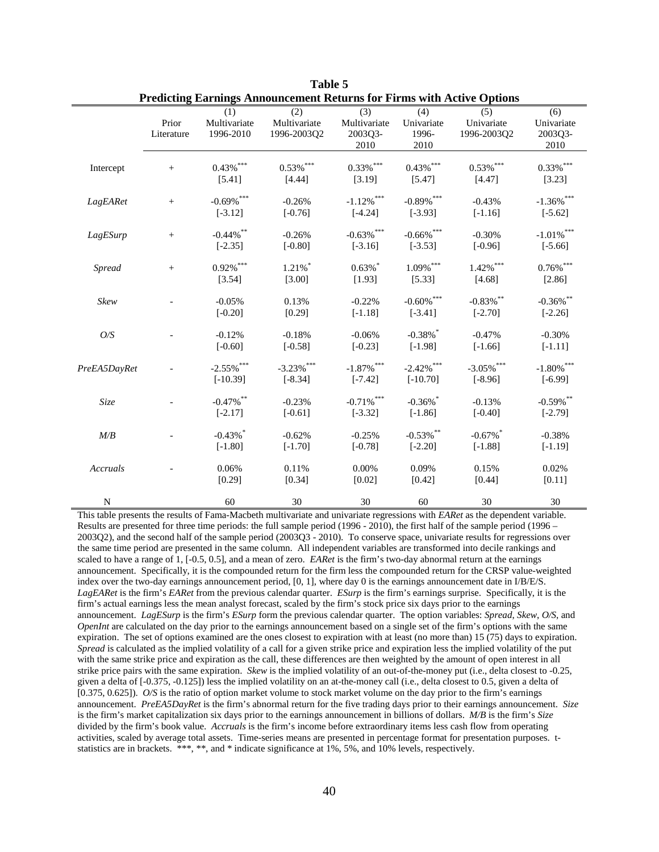|              |                     |                                     | т генение вагище Аннониесийски кентиз тог г п ніз мин женує Орионз |                                        |                                                                 |                                  |                                      |
|--------------|---------------------|-------------------------------------|--------------------------------------------------------------------|----------------------------------------|-----------------------------------------------------------------|----------------------------------|--------------------------------------|
|              | Prior<br>Literature | (1)<br>Multivariate<br>1996-2010    | (2)<br>Multivariate<br>1996-2003Q2                                 | (3)<br>Multivariate<br>2003Q3-<br>2010 | (4)<br>Univariate<br>1996-<br>2010                              | (5)<br>Univariate<br>1996-2003Q2 | (6)<br>Univariate<br>2003Q3-<br>2010 |
| Intercept    |                     | $0.43\%$ ***<br>[5.41]              | $0.53\%$ ***<br>[4.44]                                             | $0.33\%$ ***<br>[3.19]                 | $0.43\%$ ***<br>[5.47]                                          | $0.53\%$ ***<br>[4.47]           | $0.33\%$ ***<br>[3.23]               |
| LagEARet     | $^{+}$              | $-0.69\%$ ***<br>$[-3.12]$          | $-0.26%$<br>$[-0.76]$                                              | $\text{-}1.12\%$ ***<br>$[-4.24]$      | $-0.89\%$ ***<br>$[-3.93]$                                      | $-0.43%$<br>$[-1.16]$            | $-1.36\%$ ***<br>$[-5.62]$           |
| LagESurp     | $^{+}$              | $-0.44\%$ **<br>$[-2.35]$           | $-0.26%$<br>$[-0.80]$                                              | $-0.63\%$ ***<br>$[-3.16]$             | $\textbf{-0.66\%}$ $\hspace{0.1cm}^{\ast\ast\ast}$<br>$[-3.53]$ | $-0.30%$<br>$[-0.96]$            | $-1.01\%$ $^{***}$<br>$[-5.66]$      |
| Spread       | $^{+}$              | $0.92\%$ $^{***}$<br>[3.54]         | $1.21\%$ <sup>*</sup><br>[3.00]                                    | $0.63\%$ *<br>[1.93]                   | $1.09\%$ $^{***}$<br>[5.33]                                     | $1.42\%$ ***<br>[4.68]           | $0.76\%$ $^{***}$<br>[2.86]          |
| Skew         |                     | $-0.05%$<br>$[-0.20]$               | 0.13%<br>[0.29]                                                    | $-0.22%$<br>$[-1.18]$                  | $\textbf{-0.60\%}$ ***<br>$[-3.41]$                             | $-0.83\%$ **<br>$[-2.70]$        | $-0.36\%$ **<br>$[-2.26]$            |
| O/S          |                     | $-0.12%$<br>$[-0.60]$               | $-0.18%$<br>$[-0.58]$                                              | $-0.06%$<br>$[-0.23]$                  | $-0.38\%$ *<br>$[-1.98]$                                        | $-0.47%$<br>$[-1.66]$            | $-0.30%$<br>$[-1.11]$                |
| PreEA5DayRet |                     | $-2.55\%$ ***<br>$[-10.39]$         | $-3.23\%$ ***<br>$[-8.34]$                                         | $-1.87\%$ ***<br>$[-7.42]$             | $-2.42\%$ ***<br>$[-10.70]$                                     | $-3.05\%$ ***<br>$[-8.96]$       | $-1.80\%$ ***<br>$[-6.99]$           |
| Size         |                     | $-0.47\%$ **<br>$[-2.17]$           | $-0.23%$<br>$[-0.61]$                                              | $-0.71\%$ $^{***}$<br>$[-3.32]$        | $-0.36\%$ *<br>$[-1.86]$                                        | $-0.13%$<br>$[-0.40]$            | $-0.59\%$ **<br>$[-2.79]$            |
| M/B          |                     | $-0.43\%$ <sup>*</sup><br>$[-1.80]$ | $-0.62%$<br>$[-1.70]$                                              | $-0.25%$<br>$[-0.78]$                  | $\textbf{-0.53\%}^{\ast\ast}$<br>$[-2.20]$                      | $-0.67\%$<br>$[-1.88]$           | $-0.38%$<br>$[-1.19]$                |
| Accruals     |                     | 0.06%<br>[0.29]                     | 0.11%<br>[0.34]                                                    | 0.00%<br>[0.02]                        | 0.09%<br>[0.42]                                                 | 0.15%<br>[0.44]                  | 0.02%<br>[0.11]                      |
| N            |                     | 60                                  | 30                                                                 | 30                                     | 60                                                              | 30                               | 30                                   |

**Table 5 Predicting Earnings Announcement Returns for Firms with Active Options**

This table presents the results of Fama-Macbeth multivariate and univariate regressions with *EARet* as the dependent variable. Results are presented for three time periods: the full sample period (1996 - 2010), the first half of the sample period (1996 – 2003Q2), and the second half of the sample period (2003Q3 - 2010). To conserve space, univariate results for regressions over the same time period are presented in the same column. All independent variables are transformed into decile rankings and scaled to have a range of 1, [-0.5, 0.5], and a mean of zero. *EARet* is the firm's two-day abnormal return at the earnings announcement. Specifically, it is the compounded return for the firm less the compounded return for the CRSP value-weighted index over the two-day earnings announcement period, [0, 1], where day 0 is the earnings announcement date in I/B/E/S. *LagEARet* is the firm's *EARet* from the previous calendar quarter. *ESurp* is the firm's earnings surprise. Specifically, it is the firm's actual earnings less the mean analyst forecast, scaled by the firm's stock price six days prior to the earnings announcement. *LagESurp* is the firm's *ESurp* form the previous calendar quarter. The option variables: *Spread*, *Skew*, *O/S*, and *OpenInt* are calculated on the day prior to the earnings announcement based on a single set of the firm's options with the same expiration. The set of options examined are the ones closest to expiration with at least (no more than) 15 (75) days to expiration. *Spread* is calculated as the implied volatility of a call for a given strike price and expiration less the implied volatility of the put with the same strike price and expiration as the call, these differences are then weighted by the amount of open interest in all strike price pairs with the same expiration. *Skew* is the implied volatility of an out-of-the-money put (i.e., delta closest to -0.25, given a delta of [-0.375, -0.125]) less the implied volatility on an at-the-money call (i.e., delta closest to 0.5, given a delta of [0.375, 0.625]). *O/S* is the ratio of option market volume to stock market volume on the day prior to the firm's earnings announcement. *PreEA5DayRet* is the firm's abnormal return for the five trading days prior to their earnings announcement. *Size*  is the firm's market capitalization six days prior to the earnings announcement in billions of dollars. *M/B* is the firm's *Size* divided by the firm's book value. *Accruals* is the firm's income before extraordinary items less cash flow from operating activities, scaled by average total assets. Time-series means are presented in percentage format for presentation purposes. tstatistics are in brackets. \*\*\*, \*\*, and \* indicate significance at 1%, 5%, and 10% levels, respectively.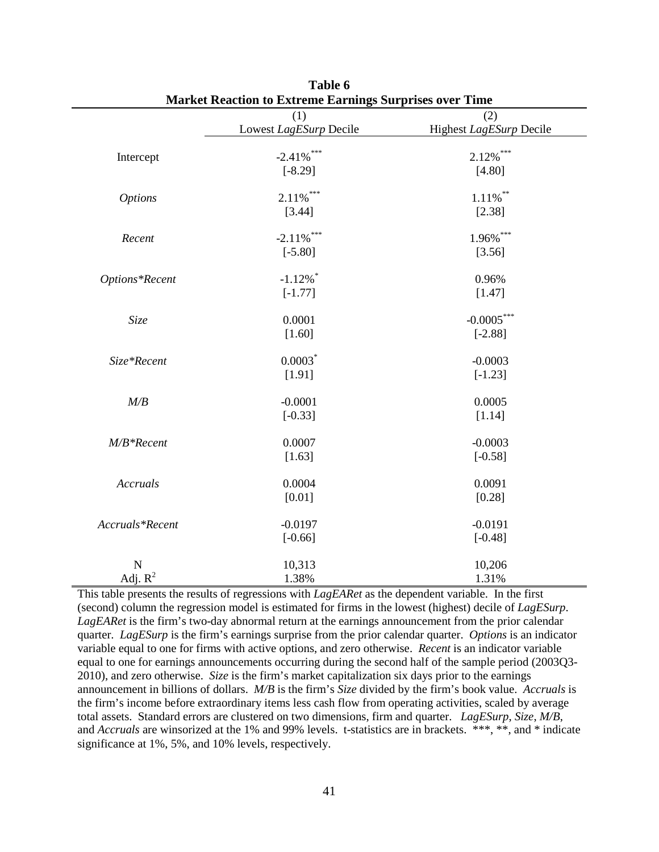|                 | (1)                    | (2)                     |
|-----------------|------------------------|-------------------------|
|                 | Lowest LagESurp Decile | Highest LagESurp Decile |
| Intercept       | $-2.41\%$ ***          | $2.12\%$ ***            |
|                 | $[-8.29]$              | [4.80]                  |
| <b>Options</b>  | $2.11\%$ ***           | $1.11\%$ <sup>**</sup>  |
|                 | [3.44]                 | [2.38]                  |
| Recent          | $-2.11\%$ ***          | 1.96%***                |
|                 | $[-5.80]$              | [3.56]                  |
| Options*Recent  | $-1.12\%$ <sup>*</sup> | 0.96%                   |
|                 | $[-1.77]$              | [1.47]                  |
| Size            | 0.0001                 | $-0.0005***$            |
|                 | $[1.60]$               | $[-2.88]$               |
| Size*Recent     | $0.0003$ *             | $-0.0003$               |
|                 | [1.91]                 | $[-1.23]$               |
| M/B             | $-0.0001$              | 0.0005                  |
|                 | $[-0.33]$              | [1.14]                  |
| $M/B*Recent$    | 0.0007                 | $-0.0003$               |
|                 | [1.63]                 | $[-0.58]$               |
| Accruals        | 0.0004                 | 0.0091                  |
|                 | [0.01]                 | [0.28]                  |
| Accruals*Recent | $-0.0197$              | $-0.0191$               |
|                 | $[-0.66]$              | $[-0.48]$               |
| N               | 10,313                 | 10,206                  |
| Adj. $R^2$      | 1.38%                  | 1.31%                   |

| Table 6                                                        |
|----------------------------------------------------------------|
| <b>Market Reaction to Extreme Earnings Surprises over Time</b> |

This table presents the results of regressions with *LagEARet* as the dependent variable. In the first (second) column the regression model is estimated for firms in the lowest (highest) decile of *LagESurp*. *LagEARet* is the firm's two-day abnormal return at the earnings announcement from the prior calendar quarter. *LagESurp* is the firm's earnings surprise from the prior calendar quarter. *Options* is an indicator variable equal to one for firms with active options, and zero otherwise. *Recent* is an indicator variable equal to one for earnings announcements occurring during the second half of the sample period (2003Q3- 2010), and zero otherwise. *Size* is the firm's market capitalization six days prior to the earnings announcement in billions of dollars. *M/B* is the firm's *Size* divided by the firm's book value. *Accruals* is the firm's income before extraordinary items less cash flow from operating activities, scaled by average total assets. Standard errors are clustered on two dimensions, firm and quarter. *LagESurp*, *Size*, *M/B*, and *Accruals* are winsorized at the 1% and 99% levels. t-statistics are in brackets. \*\*\*, \*\*, and \* indicate significance at 1%, 5%, and 10% levels, respectively.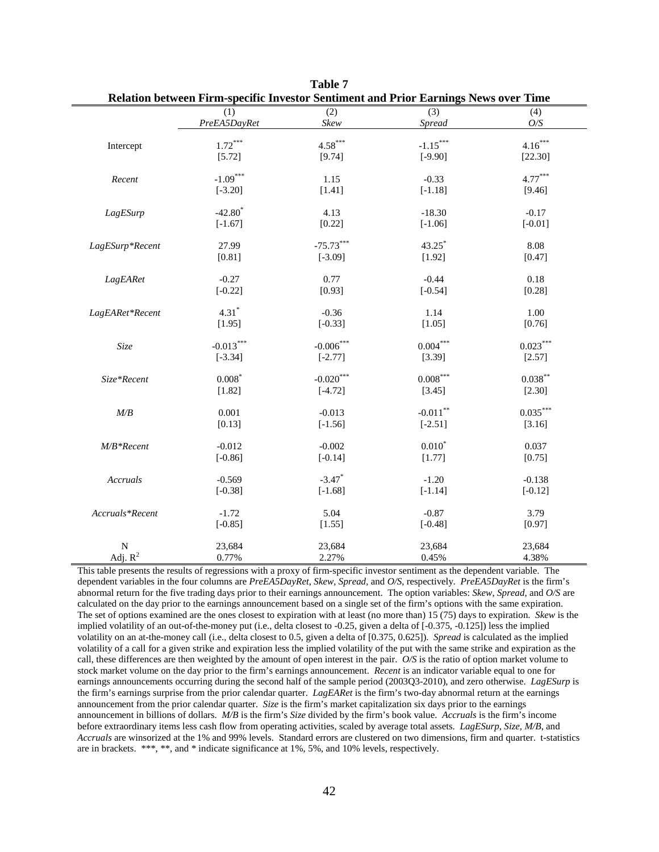|                 | $\overline{(1)}$      | (2)                  | $\overline{(3)}$       | (4)        |
|-----------------|-----------------------|----------------------|------------------------|------------|
|                 | PreEA5DayRet          | Skew                 | <b>Spread</b>          | O/S        |
|                 |                       |                      |                        |            |
| Intercept       | $1.72^{\ast\ast\ast}$ | $4.58***$            | $-1.15***$             | $4.16***$  |
|                 | [5.72]                | [9.74]               | $[-9.90]$              | [22.30]    |
| Recent          | $-1.09***$            | 1.15                 | $-0.33$                | $4.77***$  |
|                 | $[-3.20]$             | [1.41]               | $[-1.18]$              | [9.46]     |
| LagESurp        | $-42.80$ <sup>*</sup> | 4.13                 | $-18.30$               | $-0.17$    |
|                 | $[-1.67]$             | [0.22]               | $[-1.06]$              | $[-0.01]$  |
| LagESurp*Recent | 27.99                 | $-75.73***$          | $43.25$ *              | 8.08       |
|                 | [0.81]                | $[-3.09]$            | [1.92]                 | [0.47]     |
| LagEARet        | $-0.27$               | 0.77                 | $-0.44$                | 0.18       |
|                 | $[-0.22]$             | [0.93]               | $[-0.54]$              | [0.28]     |
| LagEARet*Recent | $4.31*$               | $-0.36$              | 1.14                   | 1.00       |
|                 | [1.95]                | $[-0.33]$            | [1.05]                 | [0.76]     |
| Size            | $-0.013***$           | $-0.006***$          | $0.004***$             | $0.023***$ |
|                 | $[-3.34]$             | $[-2.77]$            | [3.39]                 | [2.57]     |
| Size*Recent     | $0.008*$              | $-0.020***$          | $0.008***$             | $0.038***$ |
|                 | [1.82]                | $[-4.72]$            | [3.45]                 | [2.30]     |
| M/B             | 0.001                 | $-0.013$             | $-0.011$ <sup>**</sup> | $0.035***$ |
|                 | [0.13]                | $[-1.56]$            | $[-2.51]$              | [3.16]     |
| $M/B*Recent$    | $-0.012$              | $-0.002$             | $0.010*$               | 0.037      |
|                 | $[-0.86]$             | $[-0.14]$            | [1.77]                 | [0.75]     |
| Accruals        | $-0.569$              | $-3.47$ <sup>*</sup> | $-1.20$                | $-0.138$   |
|                 | $[-0.38]$             | $[-1.68]$            | $[-1.14]$              | $[-0.12]$  |
| Accruals*Recent | $-1.72$               | 5.04                 | $-0.87$                | 3.79       |
|                 | $[-0.85]$             | [1.55]               | $[-0.48]$              | [0.97]     |
| $\mathbf N$     | 23,684                | 23,684               | 23,684                 | 23,684     |
| Adj. $R^2$      | 0.77%                 | 2.27%                | 0.45%                  | 4.38%      |

**Table 7 Relation between Firm-specific Investor Sentiment and Prior Earnings News over Time** 

This table presents the results of regressions with a proxy of firm-specific investor sentiment as the dependent variable. The dependent variables in the four columns are *PreEA5DayRet*, *Skew*, *Spread*, and *O/S*, respectively. *PreEA5DayRet* is the firm's abnormal return for the five trading days prior to their earnings announcement. The option variables: *Skew*, *Spread*, and *O/S* are calculated on the day prior to the earnings announcement based on a single set of the firm's options with the same expiration. The set of options examined are the ones closest to expiration with at least (no more than) 15 (75) days to expiration. *Skew* is the implied volatility of an out-of-the-money put (i.e., delta closest to -0.25, given a delta of [-0.375, -0.125]) less the implied volatility on an at-the-money call (i.e., delta closest to 0.5, given a delta of [0.375, 0.625]). *Spread* is calculated as the implied volatility of a call for a given strike and expiration less the implied volatility of the put with the same strike and expiration as the call, these differences are then weighted by the amount of open interest in the pair. *O/S* is the ratio of option market volume to stock market volume on the day prior to the firm's earnings announcement. *Recent* is an indicator variable equal to one for earnings announcements occurring during the second half of the sample period (2003Q3-2010), and zero otherwise. *LagESurp* is the firm's earnings surprise from the prior calendar quarter. *LagEARet* is the firm's two-day abnormal return at the earnings announcement from the prior calendar quarter. *Size* is the firm's market capitalization six days prior to the earnings announcement in billions of dollars. *M/B* is the firm's *Size* divided by the firm's book value. *Accruals* is the firm's income before extraordinary items less cash flow from operating activities, scaled by average total assets. *LagESurp*, *Size*, *M/B*, and *Accruals* are winsorized at the 1% and 99% levels. Standard errors are clustered on two dimensions, firm and quarter. t-statistics are in brackets. \*\*\*, \*\*, and \* indicate significance at 1%, 5%, and 10% levels, respectively.